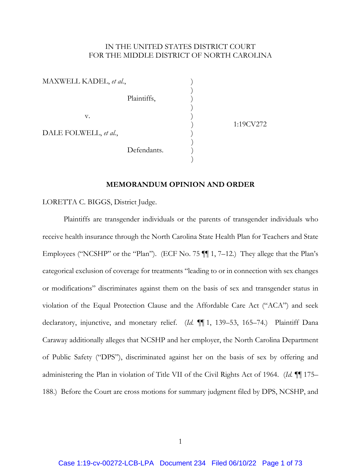# IN THE UNITED STATES DISTRICT COURT FOR THE MIDDLE DISTRICT OF NORTH CAROLINA

| MAXWELL KADEL, et al., |             |  |
|------------------------|-------------|--|
|                        | Plaintiffs, |  |
| $V_{\cdot}$            |             |  |
| DALE FOLWELL, et al.,  |             |  |
|                        | Defendants. |  |

 $)$ 

) 1:19CV272

# **MEMORANDUM OPINION AND ORDER**

LORETTA C. BIGGS, District Judge.

Plaintiffs are transgender individuals or the parents of transgender individuals who receive health insurance through the North Carolina State Health Plan for Teachers and State Employees ("NCSHP" or the "Plan"). (ECF No. 75 ¶¶ 1, 7–12.) They allege that the Plan's categorical exclusion of coverage for treatments "leading to or in connection with sex changes or modifications" discriminates against them on the basis of sex and transgender status in violation of the Equal Protection Clause and the Affordable Care Act ("ACA") and seek declaratory, injunctive, and monetary relief. (*Id.* ¶¶ 1, 139–53, 165–74.) Plaintiff Dana Caraway additionally alleges that NCSHP and her employer, the North Carolina Department of Public Safety ("DPS"), discriminated against her on the basis of sex by offering and administering the Plan in violation of Title VII of the Civil Rights Act of 1964. (*Id.* ¶¶ 175– 188.) Before the Court are cross motions for summary judgment filed by DPS, NCSHP, and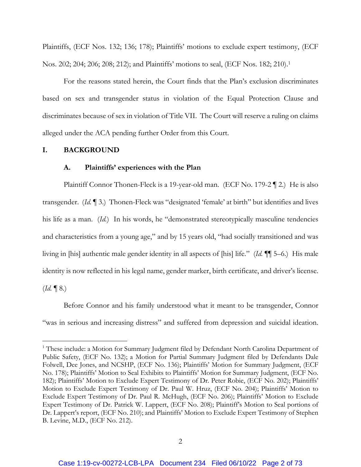Plaintiffs, (ECF Nos. 132; 136; 178); Plaintiffs' motions to exclude expert testimony, (ECF Nos. 202; 204; 206; 208; 212); and Plaintiffs' motions to seal, (ECF Nos. 182; 210).1

For the reasons stated herein, the Court finds that the Plan's exclusion discriminates based on sex and transgender status in violation of the Equal Protection Clause and discriminates because of sex in violation of Title VII. The Court will reserve a ruling on claims alleged under the ACA pending further Order from this Court.

### **I. BACKGROUND**

#### **A. Plaintiffs' experiences with the Plan**

Plaintiff Connor Thonen-Fleck is a 19-year-old man. (ECF No. 179-2 ¶ 2.) He is also transgender. (*Id.* ¶ 3.) Thonen-Fleck was "designated 'female' at birth" but identifies and lives his life as a man. (*Id.*) In his words, he "demonstrated stereotypically masculine tendencies and characteristics from a young age," and by 15 years old, "had socially transitioned and was living in [his] authentic male gender identity in all aspects of [his] life." (*Id.* ¶¶ 5–6.) His male identity is now reflected in his legal name, gender marker, birth certificate, and driver's license.  $(Id. \P 8.)$ 

Before Connor and his family understood what it meant to be transgender, Connor "was in serious and increasing distress" and suffered from depression and suicidal ideation.

<sup>&</sup>lt;sup>1</sup> These include: a Motion for Summary Judgment filed by Defendant North Carolina Department of Public Safety, (ECF No. 132); a Motion for Partial Summary Judgment filed by Defendants Dale Folwell, Dee Jones, and NCSHP, (ECF No. 136); Plaintiffs' Motion for Summary Judgment, (ECF No. 178); Plaintiffs' Motion to Seal Exhibits to Plaintiffs' Motion for Summary Judgment, (ECF No. 182); Plaintiffs' Motion to Exclude Expert Testimony of Dr. Peter Robie, (ECF No. 202); Plaintiffs' Motion to Exclude Expert Testimony of Dr. Paul W. Hruz, (ECF No. 204); Plaintiffs' Motion to Exclude Expert Testimony of Dr. Paul R. McHugh, (ECF No. 206); Plaintiffs' Motion to Exclude Expert Testimony of Dr. Patrick W. Lappert, (ECF No. 208); Plaintiff's Motion to Seal portions of Dr. Lappert's report, (ECF No. 210); and Plaintiffs' Motion to Exclude Expert Testimony of Stephen B. Levine, M.D., (ECF No. 212).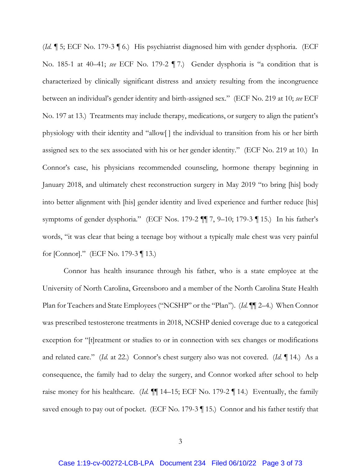(*Id.* ¶ 5; ECF No. 179-3 ¶ 6.) His psychiatrist diagnosed him with gender dysphoria. (ECF No. 185-1 at 40–41; *see* ECF No. 179-2 ¶ 7.) Gender dysphoria is "a condition that is characterized by clinically significant distress and anxiety resulting from the incongruence between an individual's gender identity and birth-assigned sex." (ECF No. 219 at 10; *see* ECF No. 197 at 13.) Treatments may include therapy, medications, or surgery to align the patient's physiology with their identity and "allow[ ] the individual to transition from his or her birth assigned sex to the sex associated with his or her gender identity." (ECF No. 219 at 10.) In Connor's case, his physicians recommended counseling, hormone therapy beginning in January 2018, and ultimately chest reconstruction surgery in May 2019 "to bring [his] body into better alignment with [his] gender identity and lived experience and further reduce [his] symptoms of gender dysphoria." (ECF Nos. 179-2 ¶¶ 7, 9–10; 179-3 ¶ 15.) In his father's words, "it was clear that being a teenage boy without a typically male chest was very painful for [Connor]." (ECF No. 179-3 ¶ 13.)

Connor has health insurance through his father, who is a state employee at the University of North Carolina, Greensboro and a member of the North Carolina State Health Plan for Teachers and State Employees ("NCSHP" or the "Plan"). (*Id.* ¶¶ 2–4.) When Connor was prescribed testosterone treatments in 2018, NCSHP denied coverage due to a categorical exception for "[t]reatment or studies to or in connection with sex changes or modifications and related care." (*Id.* at 22.) Connor's chest surgery also was not covered. (*Id.* ¶ 14.) As a consequence, the family had to delay the surgery, and Connor worked after school to help raise money for his healthcare. (*Id.* ¶¶ 14–15; ECF No. 179-2 ¶ 14.) Eventually, the family saved enough to pay out of pocket. (ECF No. 179-3 | 15.) Connor and his father testify that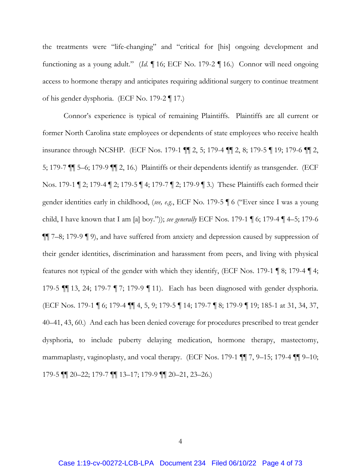the treatments were "life-changing" and "critical for [his] ongoing development and functioning as a young adult." (*Id.* ¶ 16; ECF No. 179-2 ¶ 16.) Connor will need ongoing access to hormone therapy and anticipates requiring additional surgery to continue treatment of his gender dysphoria. (ECF No. 179-2 ¶ 17.)

Connor's experience is typical of remaining Plaintiffs. Plaintiffs are all current or former North Carolina state employees or dependents of state employees who receive health insurance through NCSHP. (ECF Nos. 179-1 ¶¶ 2, 5; 179-4 ¶¶ 2, 8; 179-5 ¶ 19; 179-6 ¶¶ 2, 5; 179-7 ¶¶ 5–6; 179-9 ¶¶ 2, 16.) Plaintiffs or their dependents identify as transgender. (ECF Nos. 179-1 ¶ 2; 179-4 ¶ 2; 179-5 ¶ 4; 179-7 ¶ 2; 179-9 ¶ 3.) These Plaintiffs each formed their gender identities early in childhood, (*see, e.g.*, ECF No. 179-5 ¶ 6 ("Ever since I was a young child, I have known that I am [a] boy.")); *see generally* ECF Nos. 179-1 ¶ 6; 179-4 ¶ 4–5; 179-6 ¶¶ 7–8; 179-9 ¶ 9), and have suffered from anxiety and depression caused by suppression of their gender identities, discrimination and harassment from peers, and living with physical features not typical of the gender with which they identify, (ECF Nos. 179-1 ¶ 8; 179-4 ¶ 4; 179-5 ¶¶ 13, 24; 179-7 ¶ 7; 179-9 ¶ 11). Each has been diagnosed with gender dysphoria. (ECF Nos. 179-1 ¶ 6; 179-4 ¶¶ 4, 5, 9; 179-5 ¶ 14; 179-7 ¶ 8; 179-9 ¶ 19; 185-1 at 31, 34, 37, 40–41, 43, 60.) And each has been denied coverage for procedures prescribed to treat gender dysphoria, to include puberty delaying medication, hormone therapy, mastectomy, mammaplasty, vaginoplasty, and vocal therapy. (ECF Nos. 179-1 ¶ 7, 9-15; 179-4 ¶ 9-10; 179-5 ¶¶ 20–22; 179-7 ¶¶ 13–17; 179-9 ¶¶ 20–21, 23–26.)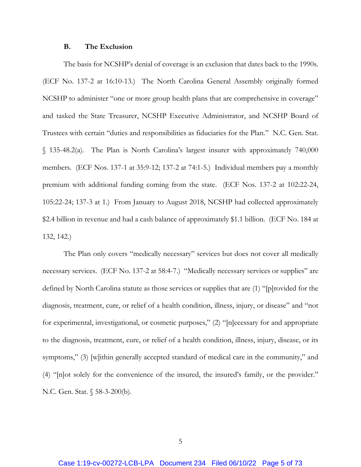#### **B. The Exclusion**

The basis for NCSHP's denial of coverage is an exclusion that dates back to the 1990s. (ECF No. 137-2 at 16:10-13.) The North Carolina General Assembly originally formed NCSHP to administer "one or more group health plans that are comprehensive in coverage" and tasked the State Treasurer, NCSHP Executive Administrator, and NCSHP Board of Trustees with certain "duties and responsibilities as fiduciaries for the Plan." N.C. Gen. Stat. § 135-48.2(a). The Plan is North Carolina's largest insurer with approximately 740,000 members. (ECF Nos. 137-1 at 35:9-12; 137-2 at 74:1-5.) Individual members pay a monthly premium with additional funding coming from the state. (ECF Nos. 137-2 at 102:22-24, 105:22-24; 137-3 at 1.) From January to August 2018, NCSHP had collected approximately \$2.4 billion in revenue and had a cash balance of approximately \$1.1 billion. (ECF No. 184 at 132, 142.)

The Plan only covers "medically necessary" services but does not cover all medically necessary services. (ECF No. 137-2 at 58:4-7.) "Medically necessary services or supplies" are defined by North Carolina statute as those services or supplies that are (1) "[p]rovided for the diagnosis, treatment, cure, or relief of a health condition, illness, injury, or disease" and "not for experimental, investigational, or cosmetic purposes," (2) "[n]ecessary for and appropriate to the diagnosis, treatment, cure, or relief of a health condition, illness, injury, disease, or its symptoms," (3) [w]ithin generally accepted standard of medical care in the community," and (4) "[n]ot solely for the convenience of the insured, the insured's family, or the provider." N.C. Gen. Stat. § 58-3-200(b).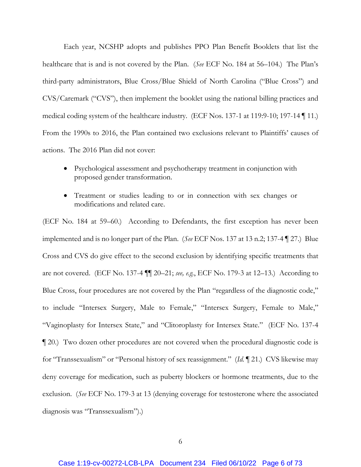Each year, NCSHP adopts and publishes PPO Plan Benefit Booklets that list the healthcare that is and is not covered by the Plan. (*See* ECF No. 184 at 56–104.) The Plan's third-party administrators, Blue Cross/Blue Shield of North Carolina ("Blue Cross") and CVS/Caremark ("CVS"), then implement the booklet using the national billing practices and medical coding system of the healthcare industry. (ECF Nos. 137-1 at 119:9-10; 197-14 ¶ 11.) From the 1990s to 2016, the Plan contained two exclusions relevant to Plaintiffs' causes of actions. The 2016 Plan did not cover:

- Psychological assessment and psychotherapy treatment in conjunction with proposed gender transformation.
- Treatment or studies leading to or in connection with sex changes or modifications and related care.

(ECF No. 184 at 59–60.) According to Defendants, the first exception has never been implemented and is no longer part of the Plan. (*See* ECF Nos. 137 at 13 n.2; 137-4 ¶ 27.) Blue Cross and CVS do give effect to the second exclusion by identifying specific treatments that are not covered. (ECF No. 137-4 ¶¶ 20–21; *see, e.g.*, ECF No. 179-3 at 12–13.) According to Blue Cross, four procedures are not covered by the Plan "regardless of the diagnostic code," to include "Intersex Surgery, Male to Female," "Intersex Surgery, Female to Male," "Vaginoplasty for Intersex State," and "Clitoroplasty for Intersex State." (ECF No. 137-4 ¶ 20.) Two dozen other procedures are not covered when the procedural diagnostic code is for "Transsexualism" or "Personal history of sex reassignment." (*Id.* ¶ 21.) CVS likewise may deny coverage for medication, such as puberty blockers or hormone treatments, due to the exclusion. (*See* ECF No. 179-3 at 13 (denying coverage for testosterone where the associated diagnosis was "Transsexualism").)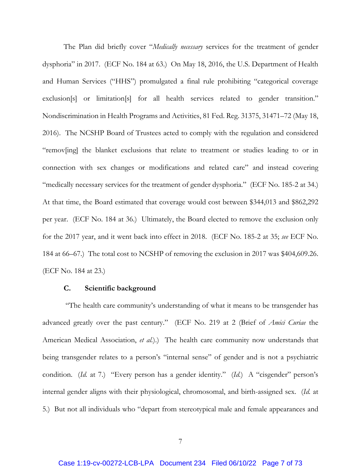The Plan did briefly cover "*Medically necessary* services for the treatment of gender dysphoria" in 2017. (ECF No. 184 at 63.) On May 18, 2016, the U.S. Department of Health and Human Services ("HHS") promulgated a final rule prohibiting "categorical coverage exclusion[s] or limitation[s] for all health services related to gender transition." Nondiscrimination in Health Programs and Activities, 81 Fed. Reg. 31375, 31471–72 (May 18, 2016). The NCSHP Board of Trustees acted to comply with the regulation and considered "remov[ing] the blanket exclusions that relate to treatment or studies leading to or in connection with sex changes or modifications and related care" and instead covering "medically necessary services for the treatment of gender dysphoria." (ECF No. 185-2 at 34.) At that time, the Board estimated that coverage would cost between \$344,013 and \$862,292 per year. (ECF No. 184 at 36.) Ultimately, the Board elected to remove the exclusion only for the 2017 year, and it went back into effect in 2018. (ECF No. 185-2 at 35; *see* ECF No. 184 at 66–67.) The total cost to NCSHP of removing the exclusion in 2017 was \$404,609.26. (ECF No. 184 at 23.)

#### **C. Scientific background**

 "The health care community's understanding of what it means to be transgender has advanced greatly over the past century." (ECF No. 219 at 2 (Brief of *Amici Curiae* the American Medical Association, *et al.*).) The health care community now understands that being transgender relates to a person's "internal sense" of gender and is not a psychiatric condition. (*Id.* at 7.) "Every person has a gender identity." (*Id.*) A "cisgender" person's internal gender aligns with their physiological, chromosomal, and birth-assigned sex. (*Id.* at 5.) But not all individuals who "depart from stereotypical male and female appearances and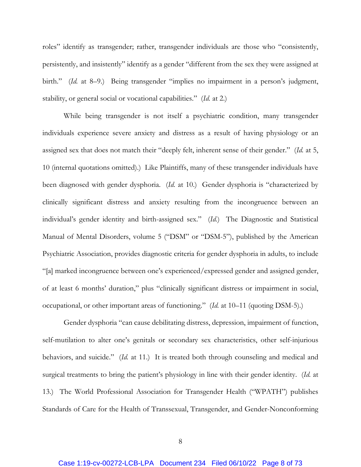roles" identify as transgender; rather, transgender individuals are those who "consistently, persistently, and insistently" identify as a gender "different from the sex they were assigned at birth." (*Id.* at 8–9.) Being transgender "implies no impairment in a person's judgment, stability, or general social or vocational capabilities." (*Id.* at 2.)

While being transgender is not itself a psychiatric condition, many transgender individuals experience severe anxiety and distress as a result of having physiology or an assigned sex that does not match their "deeply felt, inherent sense of their gender." (*Id.* at 5, 10 (internal quotations omitted).) Like Plaintiffs, many of these transgender individuals have been diagnosed with gender dysphoria. (*Id.* at 10.) Gender dysphoria is "characterized by clinically significant distress and anxiety resulting from the incongruence between an individual's gender identity and birth-assigned sex." (*Id.*) The Diagnostic and Statistical Manual of Mental Disorders, volume 5 ("DSM" or "DSM-5"), published by the American Psychiatric Association, provides diagnostic criteria for gender dysphoria in adults, to include "[a] marked incongruence between one's experienced/expressed gender and assigned gender, of at least 6 months' duration," plus "clinically significant distress or impairment in social, occupational, or other important areas of functioning." (*Id.* at 10–11 (quoting DSM-5).)

Gender dysphoria "can cause debilitating distress, depression, impairment of function, self-mutilation to alter one's genitals or secondary sex characteristics, other self-injurious behaviors, and suicide." (*Id.* at 11.) It is treated both through counseling and medical and surgical treatments to bring the patient's physiology in line with their gender identity. (*Id.* at 13.) The World Professional Association for Transgender Health ("WPATH") publishes Standards of Care for the Health of Transsexual, Transgender, and Gender-Nonconforming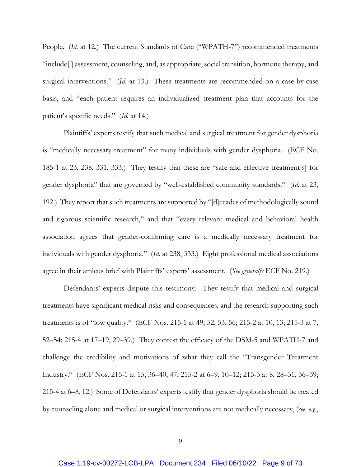People. (*Id.* at 12.) The current Standards of Care ("WPATH-7") recommended treatments "include[ ] assessment, counseling, and, as appropriate, social transition, hormone therapy, and surgical interventions." (*Id.* at 13.) These treatments are recommended on a case-by-case basis, and "each patient requires an individualized treatment plan that accounts for the patient's specific needs." (*Id.* at 14.)

Plaintiffs' experts testify that such medical and surgical treatment for gender dysphoria is "medically necessary treatment" for many individuals with gender dysphoria. (ECF No. 185-1 at 23, 238, 331, 333.) They testify that these are "safe and effective treatment[s] for gender dysphoria" that are governed by "well-established community standards." (*Id.* at 23, 192.) They report that such treatments are supported by "[d]ecades of methodologically sound and rigorous scientific research," and that "every relevant medical and behavioral health association agrees that gender-confirming care is a medically necessary treatment for individuals with gender dysphoria." (*Id.* at 238, 333.) Eight professional medical associations agree in their amicus brief with Plaintiffs' experts' assessment. (*See generally* ECF No. 219.)

Defendants' experts dispute this testimony. They testify that medical and surgical treatments have significant medical risks and consequences, and the research supporting such treatments is of "low quality." (ECF Nos. 215-1 at 49, 52, 53, 56; 215-2 at 10, 13; 215-3 at 7, 52–54; 215-4 at 17–19, 29–39.) They contest the efficacy of the DSM-5 and WPATH-7 and challenge the credibility and motivations of what they call the "Transgender Treatment Industry." (ECF Nos. 215-1 at 15, 36–40, 47; 215-2 at 6–9, 10–12; 215-3 at 8, 28–31, 36–39; 215-4 at 6–8, 12.) Some of Defendants' experts testify that gender dysphoria should be treated by counseling alone and medical or surgical interventions are not medically necessary, (*see, e.g.*,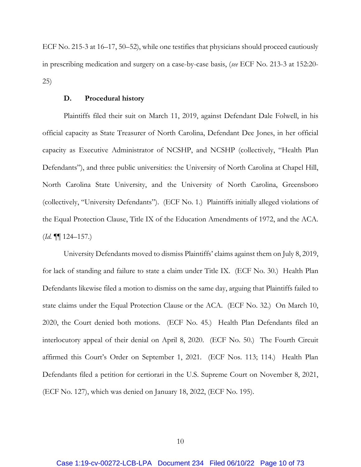ECF No. 215-3 at 16–17, 50–52), while one testifies that physicians should proceed cautiously in prescribing medication and surgery on a case-by-case basis, (*see* ECF No. 213-3 at 152:20- 25)

## **D. Procedural history**

Plaintiffs filed their suit on March 11, 2019, against Defendant Dale Folwell, in his official capacity as State Treasurer of North Carolina, Defendant Dee Jones, in her official capacity as Executive Administrator of NCSHP, and NCSHP (collectively, "Health Plan Defendants"), and three public universities: the University of North Carolina at Chapel Hill, North Carolina State University, and the University of North Carolina, Greensboro (collectively, "University Defendants"). (ECF No. 1.) Plaintiffs initially alleged violations of the Equal Protection Clause, Title IX of the Education Amendments of 1972, and the ACA. (*Id.* ¶¶ 124–157.)

University Defendants moved to dismiss Plaintiffs' claims against them on July 8, 2019, for lack of standing and failure to state a claim under Title IX. (ECF No. 30.) Health Plan Defendants likewise filed a motion to dismiss on the same day, arguing that Plaintiffs failed to state claims under the Equal Protection Clause or the ACA. (ECF No. 32.) On March 10, 2020, the Court denied both motions. (ECF No. 45.) Health Plan Defendants filed an interlocutory appeal of their denial on April 8, 2020. (ECF No. 50.) The Fourth Circuit affirmed this Court's Order on September 1, 2021. (ECF Nos. 113; 114.) Health Plan Defendants filed a petition for certiorari in the U.S. Supreme Court on November 8, 2021, (ECF No. 127), which was denied on January 18, 2022, (ECF No. 195).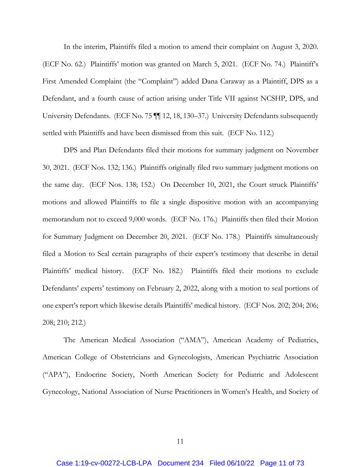In the interim, Plaintiffs filed a motion to amend their complaint on August 3, 2020. (ECF No. 62.) Plaintiffs' motion was granted on March 5, 2021. (ECF No. 74.) Plaintiff's First Amended Complaint (the "Complaint") added Dana Caraway as a Plaintiff, DPS as a Defendant, and a fourth cause of action arising under Title VII against NCSHP, DPS, and University Defendants. (ECF No. 75  $\P$  12, 18, 130–37.) University Defendants subsequently settled with Plaintiffs and have been dismissed from this suit. (ECF No. 112.)

DPS and Plan Defendants filed their motions for summary judgment on November 30, 2021. (ECF Nos. 132; 136.) Plaintiffs originally filed two summary judgment motions on the same day. (ECF Nos. 138; 152.) On December 10, 2021, the Court struck Plaintiffs' motions and allowed Plaintiffs to file a single dispositive motion with an accompanying memorandum not to exceed 9,000 words. (ECF No. 176.) Plaintiffs then filed their Motion for Summary Judgment on December 20, 2021. (ECF No. 178.) Plaintiffs simultaneously filed a Motion to Seal certain paragraphs of their expert's testimony that describe in detail Plaintiffs' medical history. (ECF No. 182.) Plaintiffs filed their motions to exclude Defendants' experts' testimony on February 2, 2022, along with a motion to seal portions of one expert's report which likewise details Plaintiffs' medical history. (ECF Nos. 202; 204; 206; 208; 210; 212.)

The American Medical Association ("AMA"), American Academy of Pediatrics, American College of Obstetricians and Gynecologists, American Psychiatric Association ("APA"), Endocrine Society, North American Society for Pediatric and Adolescent Gynecology, National Association of Nurse Practitioners in Women's Health, and Society of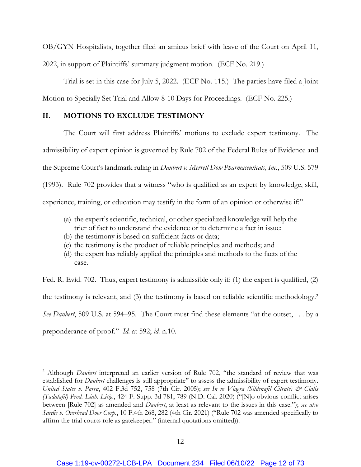OB/GYN Hospitalists, together filed an amicus brief with leave of the Court on April 11, 2022, in support of Plaintiffs' summary judgment motion. (ECF No. 219.)

 Trial is set in this case for July 5, 2022. (ECF No. 115.) The parties have filed a Joint Motion to Specially Set Trial and Allow 8-10 Days for Proceedings. (ECF No. 225.)

## **II. MOTIONS TO EXCLUDE TESTIMONY**

The Court will first address Plaintiffs' motions to exclude expert testimony. The admissibility of expert opinion is governed by Rule 702 of the Federal Rules of Evidence and the Supreme Court's landmark ruling in *Daubert v. Merrell Dow Pharmaceuticals, Inc.*, 509 U.S. 579 (1993). Rule 702 provides that a witness "who is qualified as an expert by knowledge, skill, experience, training, or education may testify in the form of an opinion or otherwise if:"

- (a) the expert's scientific, technical, or other specialized knowledge will help the trier of fact to understand the evidence or to determine a fact in issue;
- (b) the testimony is based on sufficient facts or data;
- (c) the testimony is the product of reliable principles and methods; and
- (d) the expert has reliably applied the principles and methods to the facts of the case.

Fed. R. Evid. 702. Thus, expert testimony is admissible only if: (1) the expert is qualified, (2) the testimony is relevant, and (3) the testimony is based on reliable scientific methodology.2 *See Daubert*, 509 U.S. at 594–95. The Court must find these elements "at the outset, . . . by a preponderance of proof." *Id.* at 592; *id.* n.10.

<sup>&</sup>lt;sup>2</sup> Although *Daubert* interpreted an earlier version of Rule 702, "the standard of review that was established for *Daubert* challenges is still appropriate" to assess the admissibility of expert testimony. *United States v. Parra*, 402 F.3d 752, 758 (7th Cir. 2005); *see In re Viagra (Sildenafil Citrate) & Cialis (Tadalafil) Prod. Liab. Litig.*, 424 F. Supp. 3d 781, 789 (N.D. Cal. 2020) ("[N]o obvious conflict arises between [Rule 702] as amended and *Daubert*, at least as relevant to the issues in this case."); *see also Sardis v. Overhead Door Corp.*, 10 F.4th 268, 282 (4th Cir. 2021) ("Rule 702 was amended specifically to affirm the trial courts role as gatekeeper." (internal quotations omitted)).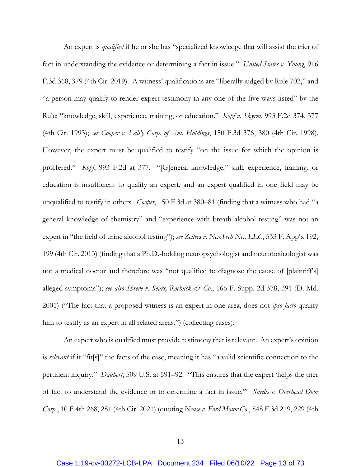An expert is *qualified* if he or she has "specialized knowledge that will assist the trier of fact in understanding the evidence or determining a fact in issue." *United States v. Young*, 916 F.3d 368, 379 (4th Cir. 2019). A witness' qualifications are "liberally judged by Rule 702," and "a person may qualify to render expert testimony in any one of the five ways listed" by the Rule: "knowledge, skill, experience, training, or education." *Kopf v. Skyrm*, 993 F.2d 374, 377 (4th Cir. 1993); *see Cooper v. Lab'y Corp. of Am. Holdings*, 150 F.3d 376, 380 (4th Cir. 1998). However, the expert must be qualified to testify "on the issue for which the opinion is proffered." *Kopf*, 993 F.2d at 377. "[G]eneral knowledge," skill, experience, training, or education is insufficient to qualify an expert, and an expert qualified in one field may be unqualified to testify in others. *Cooper*, 150 F.3d at 380–81 (finding that a witness who had "a general knowledge of chemistry" and "experience with breath alcohol testing" was not an expert in "the field of urine alcohol testing"); *see Zellers v. NexTech Ne., LLC*, 533 F. App'x 192, 199 (4th Cir. 2013) (finding that a Ph.D.-holding neuropsychologist and neurotoxicologist was not a medical doctor and therefore was "not qualified to diagnose the cause of [plaintiff's] alleged symptoms"); *see also Shreve v. Sears, Roebuck & Co.*, 166 F. Supp. 2d 378, 391 (D. Md. 2001) ("The fact that a proposed witness is an expert in one area, does not *ipso facto* qualify him to testify as an expert in all related areas.") (collecting cases).

An expert who is qualified must provide testimony that is relevant. An expert's opinion is *relevant* if it "fit[s]" the facts of the case, meaning it has "a valid scientific connection to the pertinent inquiry." *Daubert*, 509 U.S. at 591–92. "This ensures that the expert 'helps the trier of fact to understand the evidence or to determine a fact in issue.'" *Sardis v. Overhead Door Corp.*, 10 F.4th 268, 281 (4th Cir. 2021) (quoting *Nease v. Ford Motor Co.*, 848 F.3d 219, 229 (4th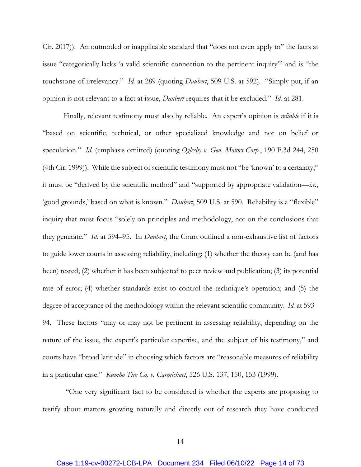Cir. 2017)). An outmoded or inapplicable standard that "does not even apply to" the facts at issue "categorically lacks 'a valid scientific connection to the pertinent inquiry'" and is "the touchstone of irrelevancy." *Id.* at 289 (quoting *Daubert*, 509 U.S. at 592). "Simply put, if an opinion is not relevant to a fact at issue, *Daubert* requires that it be excluded." *Id.* at 281.

Finally, relevant testimony must also by reliable. An expert's opinion is *reliable* if it is "based on scientific, technical, or other specialized knowledge and not on belief or speculation." *Id.* (emphasis omitted) (quoting *Oglesby v. Gen. Motors Corp.*, 190 F.3d 244, 250 (4th Cir. 1999)). While the subject of scientific testimony must not "be 'known' to a certainty," it must be "derived by the scientific method" and "supported by appropriate validation—*i.e.*, 'good grounds,' based on what is known." *Daubert*, 509 U.S. at 590. Reliability is a "flexible" inquiry that must focus "solely on principles and methodology, not on the conclusions that they generate." *Id.* at 594–95. In *Daubert*, the Court outlined a non-exhaustive list of factors to guide lower courts in assessing reliability, including: (1) whether the theory can be (and has been) tested; (2) whether it has been subjected to peer review and publication; (3) its potential rate of error; (4) whether standards exist to control the technique's operation; and (5) the degree of acceptance of the methodology within the relevant scientific community. *Id.* at 593– 94. These factors "may or may not be pertinent in assessing reliability, depending on the nature of the issue, the expert's particular expertise, and the subject of his testimony," and courts have "broad latitude" in choosing which factors are "reasonable measures of reliability in a particular case." *Kumho Tire Co. v. Carmichael*, 526 U.S. 137, 150, 153 (1999).

 "One very significant fact to be considered is whether the experts are proposing to testify about matters growing naturally and directly out of research they have conducted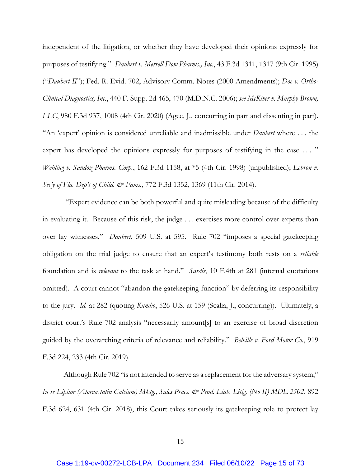independent of the litigation, or whether they have developed their opinions expressly for purposes of testifying." *Daubert v. Merrell Dow Pharms., Inc.*, 43 F.3d 1311, 1317 (9th Cir. 1995) ("*Daubert II*"); Fed. R. Evid. 702, Advisory Comm. Notes (2000 Amendments); *Doe v. Ortho-Clinical Diagnostics, Inc.*, 440 F. Supp. 2d 465, 470 (M.D.N.C. 2006); *see McKiver v. Murphy-Brown, LLC*, 980 F.3d 937, 1008 (4th Cir. 2020) (Agee, J., concurring in part and dissenting in part). "An 'expert' opinion is considered unreliable and inadmissible under *Daubert* where . . . the expert has developed the opinions expressly for purposes of testifying in the case ...." *Wehling v. Sandoz Pharms. Corp.*, 162 F.3d 1158, at \*5 (4th Cir. 1998) (unpublished); *Lebron v. Sec'y of Fla. Dep't of Child. & Fams.*, 772 F.3d 1352, 1369 (11th Cir. 2014).

 "Expert evidence can be both powerful and quite misleading because of the difficulty in evaluating it. Because of this risk, the judge . . . exercises more control over experts than over lay witnesses." *Daubert*, 509 U.S. at 595. Rule 702 "imposes a special gatekeeping obligation on the trial judge to ensure that an expert's testimony both rests on a *reliable* foundation and is *relevant* to the task at hand." *Sardis*, 10 F.4th at 281 (internal quotations omitted). A court cannot "abandon the gatekeeping function" by deferring its responsibility to the jury. *Id.* at 282 (quoting *Kumho*, 526 U.S. at 159 (Scalia, J., concurring)). Ultimately, a district court's Rule 702 analysis "necessarily amount[s] to an exercise of broad discretion guided by the overarching criteria of relevance and reliability." *Belville v. Ford Motor Co.*, 919 F.3d 224, 233 (4th Cir. 2019).

Although Rule 702 "is not intended to serve as a replacement for the adversary system," *In re Lipitor (Atorvastatin Calcium) Mktg., Sales Pracs. & Prod. Liab. Litig. (No II) MDL 2502*, 892 F.3d 624, 631 (4th Cir. 2018), this Court takes seriously its gatekeeping role to protect lay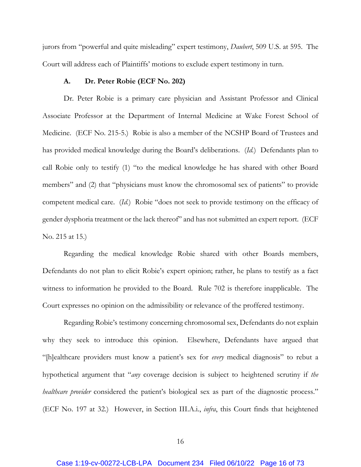jurors from "powerful and quite misleading" expert testimony, *Daubert*, 509 U.S. at 595. The Court will address each of Plaintiffs' motions to exclude expert testimony in turn.

### **A. Dr. Peter Robie (ECF No. 202)**

Dr. Peter Robie is a primary care physician and Assistant Professor and Clinical Associate Professor at the Department of Internal Medicine at Wake Forest School of Medicine. (ECF No. 215-5.) Robie is also a member of the NCSHP Board of Trustees and has provided medical knowledge during the Board's deliberations. (*Id.*) Defendants plan to call Robie only to testify (1) "to the medical knowledge he has shared with other Board members" and (2) that "physicians must know the chromosomal sex of patients" to provide competent medical care. (*Id.*) Robie "does not seek to provide testimony on the efficacy of gender dysphoria treatment or the lack thereof" and has not submitted an expert report. (ECF No. 215 at 15.)

Regarding the medical knowledge Robie shared with other Boards members, Defendants do not plan to elicit Robie's expert opinion; rather, he plans to testify as a fact witness to information he provided to the Board. Rule 702 is therefore inapplicable. The Court expresses no opinion on the admissibility or relevance of the proffered testimony.

Regarding Robie's testimony concerning chromosomal sex, Defendants do not explain why they seek to introduce this opinion. Elsewhere, Defendants have argued that "[h]ealthcare providers must know a patient's sex for *every* medical diagnosis" to rebut a hypothetical argument that "*any* coverage decision is subject to heightened scrutiny if *the healthcare provider* considered the patient's biological sex as part of the diagnostic process." (ECF No. 197 at 32.) However, in Section III.A.i., *infra*, this Court finds that heightened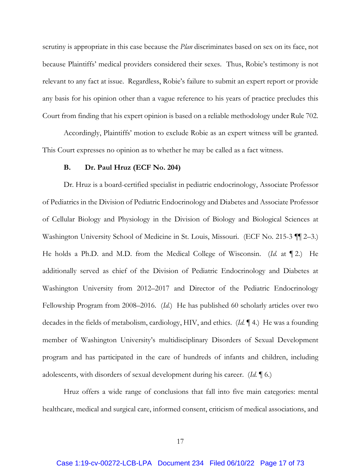scrutiny is appropriate in this case because the *Plan* discriminates based on sex on its face, not because Plaintiffs' medical providers considered their sexes. Thus, Robie's testimony is not relevant to any fact at issue. Regardless, Robie's failure to submit an expert report or provide any basis for his opinion other than a vague reference to his years of practice precludes this Court from finding that his expert opinion is based on a reliable methodology under Rule 702.

Accordingly, Plaintiffs' motion to exclude Robie as an expert witness will be granted. This Court expresses no opinion as to whether he may be called as a fact witness.

#### **B. Dr. Paul Hruz (ECF No. 204)**

Dr. Hruz is a board-certified specialist in pediatric endocrinology, Associate Professor of Pediatrics in the Division of Pediatric Endocrinology and Diabetes and Associate Professor of Cellular Biology and Physiology in the Division of Biology and Biological Sciences at Washington University School of Medicine in St. Louis, Missouri. (ECF No. 215-3 ¶¶ 2–3.) He holds a Ph.D. and M.D. from the Medical College of Wisconsin. (*Id.* at ¶ 2.) He additionally served as chief of the Division of Pediatric Endocrinology and Diabetes at Washington University from 2012–2017 and Director of the Pediatric Endocrinology Fellowship Program from 2008–2016. (*Id.*) He has published 60 scholarly articles over two decades in the fields of metabolism, cardiology, HIV, and ethics. (*Id.* ¶ 4.) He was a founding member of Washington University's multidisciplinary Disorders of Sexual Development program and has participated in the care of hundreds of infants and children, including adolescents, with disorders of sexual development during his career. (*Id.* ¶ 6.)

Hruz offers a wide range of conclusions that fall into five main categories: mental healthcare, medical and surgical care, informed consent, criticism of medical associations, and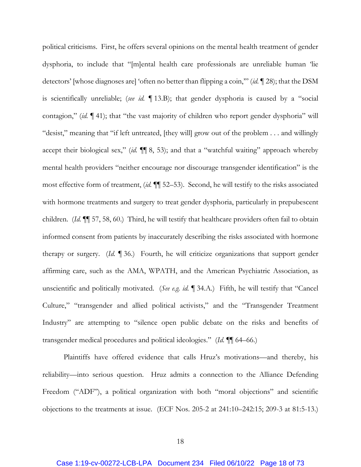political criticisms. First, he offers several opinions on the mental health treatment of gender dysphoria, to include that "[m]ental health care professionals are unreliable human 'lie detectors' [whose diagnoses are] 'often no better than flipping a coin,'" (*id.* ¶ 28); that the DSM is scientifically unreliable; (*see id.* ¶ 13.B); that gender dysphoria is caused by a "social contagion," (*id.* ¶ 41); that "the vast majority of children who report gender dysphoria" will "desist," meaning that "if left untreated, [they will] grow out of the problem . . . and willingly accept their biological sex," (*id.* ¶¶ 8, 53); and that a "watchful waiting" approach whereby mental health providers "neither encourage nor discourage transgender identification" is the most effective form of treatment, (*id.* ¶¶ 52–53). Second, he will testify to the risks associated with hormone treatments and surgery to treat gender dysphoria, particularly in prepubescent children. (*Id.* ¶¶ 57, 58, 60.) Third, he will testify that healthcare providers often fail to obtain informed consent from patients by inaccurately describing the risks associated with hormone therapy or surgery. (*Id.* ¶ 36.) Fourth, he will criticize organizations that support gender affirming care, such as the AMA, WPATH, and the American Psychiatric Association, as unscientific and politically motivated. (*See e.g. id.* ¶ 34.A.) Fifth, he will testify that "Cancel Culture," "transgender and allied political activists," and the "Transgender Treatment Industry" are attempting to "silence open public debate on the risks and benefits of transgender medical procedures and political ideologies." (*Id.* ¶¶ 64–66.)

Plaintiffs have offered evidence that calls Hruz's motivations—and thereby, his reliability—into serious question. Hruz admits a connection to the Alliance Defending Freedom ("ADF"), a political organization with both "moral objections" and scientific objections to the treatments at issue. (ECF Nos. 205-2 at 241:10–242:15; 209-3 at 81:5-13.)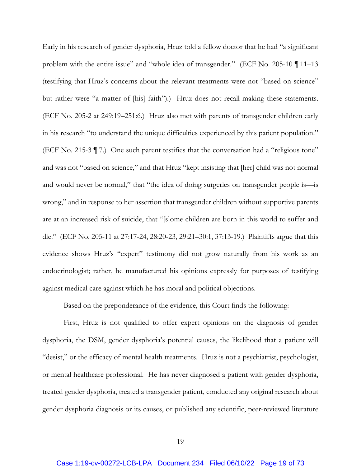Early in his research of gender dysphoria, Hruz told a fellow doctor that he had "a significant problem with the entire issue" and "whole idea of transgender." (ECF No. 205-10 ¶ 11–13 (testifying that Hruz's concerns about the relevant treatments were not "based on science" but rather were "a matter of [his] faith").) Hruz does not recall making these statements. (ECF No. 205-2 at 249:19–251:6.) Hruz also met with parents of transgender children early in his research "to understand the unique difficulties experienced by this patient population." (ECF No. 215-3 ¶ 7.) One such parent testifies that the conversation had a "religious tone" and was not "based on science," and that Hruz "kept insisting that [her] child was not normal and would never be normal," that "the idea of doing surgeries on transgender people is—is wrong," and in response to her assertion that transgender children without supportive parents are at an increased risk of suicide, that "[s]ome children are born in this world to suffer and die." (ECF No. 205-11 at 27:17-24, 28:20-23, 29:21–30:1, 37:13-19.) Plaintiffs argue that this evidence shows Hruz's "expert" testimony did not grow naturally from his work as an endocrinologist; rather, he manufactured his opinions expressly for purposes of testifying against medical care against which he has moral and political objections.

Based on the preponderance of the evidence, this Court finds the following:

First, Hruz is not qualified to offer expert opinions on the diagnosis of gender dysphoria, the DSM, gender dysphoria's potential causes, the likelihood that a patient will "desist," or the efficacy of mental health treatments. Hruz is not a psychiatrist, psychologist, or mental healthcare professional. He has never diagnosed a patient with gender dysphoria, treated gender dysphoria, treated a transgender patient, conducted any original research about gender dysphoria diagnosis or its causes, or published any scientific, peer-reviewed literature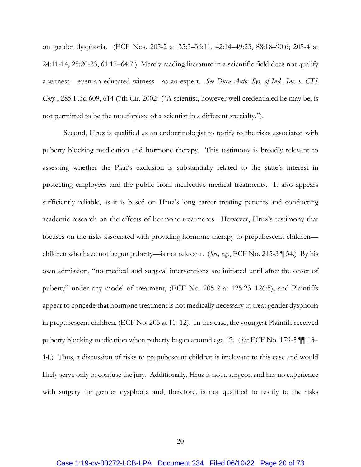on gender dysphoria. (ECF Nos. 205-2 at 35:5–36:11, 42:14–49:23, 88:18–90:6; 205-4 at 24:11-14, 25:20-23, 61:17–64:7.) Merely reading literature in a scientific field does not qualify a witness—even an educated witness—as an expert. *See Dura Auto. Sys. of Ind., Inc. v. CTS Corp.*, 285 F.3d 609, 614 (7th Cir. 2002) ("A scientist, however well credentialed he may be, is not permitted to be the mouthpiece of a scientist in a different specialty.").

Second, Hruz is qualified as an endocrinologist to testify to the risks associated with puberty blocking medication and hormone therapy. This testimony is broadly relevant to assessing whether the Plan's exclusion is substantially related to the state's interest in protecting employees and the public from ineffective medical treatments. It also appears sufficiently reliable, as it is based on Hruz's long career treating patients and conducting academic research on the effects of hormone treatments. However, Hruz's testimony that focuses on the risks associated with providing hormone therapy to prepubescent children children who have not begun puberty—is not relevant. (*See, e.g.*, ECF No. 215-3 ¶ 54.) By his own admission, "no medical and surgical interventions are initiated until after the onset of puberty" under any model of treatment, (ECF No. 205-2 at 125:23–126:5), and Plaintiffs appear to concede that hormone treatment is not medically necessary to treat gender dysphoria in prepubescent children, (ECF No. 205 at 11–12). In this case, the youngest Plaintiff received puberty blocking medication when puberty began around age 12. (*See* ECF No. 179-5 ¶¶ 13– 14.) Thus, a discussion of risks to prepubescent children is irrelevant to this case and would likely serve only to confuse the jury. Additionally, Hruz is not a surgeon and has no experience with surgery for gender dysphoria and, therefore, is not qualified to testify to the risks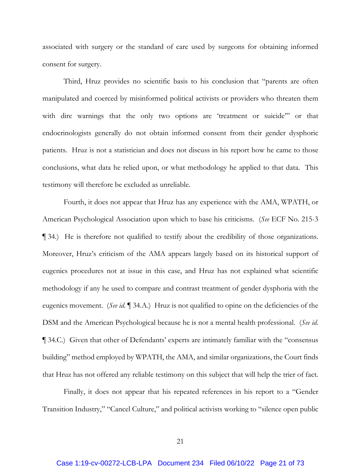associated with surgery or the standard of care used by surgeons for obtaining informed consent for surgery.

Third, Hruz provides no scientific basis to his conclusion that "parents are often manipulated and coerced by misinformed political activists or providers who threaten them with dire warnings that the only two options are 'treatment or suicide'" or that endocrinologists generally do not obtain informed consent from their gender dysphoric patients. Hruz is not a statistician and does not discuss in his report how he came to those conclusions, what data he relied upon, or what methodology he applied to that data. This testimony will therefore be excluded as unreliable.

Fourth, it does not appear that Hruz has any experience with the AMA, WPATH, or American Psychological Association upon which to base his criticisms. (*See* ECF No. 215-3 ¶ 34.) He is therefore not qualified to testify about the credibility of those organizations. Moreover, Hruz's criticism of the AMA appears largely based on its historical support of eugenics procedures not at issue in this case, and Hruz has not explained what scientific methodology if any he used to compare and contrast treatment of gender dysphoria with the eugenics movement. (*See id.* ¶ 34.A.) Hruz is not qualified to opine on the deficiencies of the DSM and the American Psychological because he is not a mental health professional. (*See id.*  ¶ 34.C.) Given that other of Defendants' experts are intimately familiar with the "consensus building" method employed by WPATH, the AMA, and similar organizations, the Court finds that Hruz has not offered any reliable testimony on this subject that will help the trier of fact.

Finally, it does not appear that his repeated references in his report to a "Gender Transition Industry," "Cancel Culture," and political activists working to "silence open public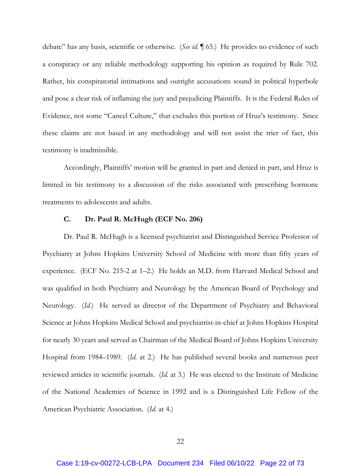debate" has any basis, scientific or otherwise. (*See id.* ¶ 65.) He provides no evidence of such a conspiracy or any reliable methodology supporting his opinion as required by Rule 702. Rather, his conspiratorial intimations and outright accusations sound in political hyperbole and pose a clear risk of inflaming the jury and prejudicing Plaintiffs. It is the Federal Rules of Evidence, not some "Cancel Culture," that excludes this portion of Hruz's testimony. Since these claims are not based in any methodology and will not assist the trier of fact, this testimony is inadmissible.

Accordingly, Plaintiffs' motion will be granted in part and denied in part, and Hruz is limited in his testimony to a discussion of the risks associated with prescribing hormone treatments to adolescents and adults.

#### **C. Dr. Paul R. McHugh (ECF No. 206)**

Dr. Paul R. McHugh is a licensed psychiatrist and Distinguished Service Professor of Psychiatry at Johns Hopkins University School of Medicine with more than fifty years of experience. (ECF No. 215-2 at 1–2.) He holds an M.D. from Harvard Medical School and was qualified in both Psychiatry and Neurology by the American Board of Psychology and Neurology. (*Id.*) He served as director of the Department of Psychiatry and Behavioral Science at Johns Hopkins Medical School and psychiatrist-in-chief at Johns Hopkins Hospital for nearly 30 years and served as Chairman of the Medical Board of Johns Hopkins University Hospital from 1984–1989. (*Id.* at 2.) He has published several books and numerous peer reviewed articles in scientific journals. (*Id.* at 3.) He was elected to the Institute of Medicine of the National Academies of Science in 1992 and is a Distinguished Life Fellow of the American Psychiatric Association. (*Id.* at 4.)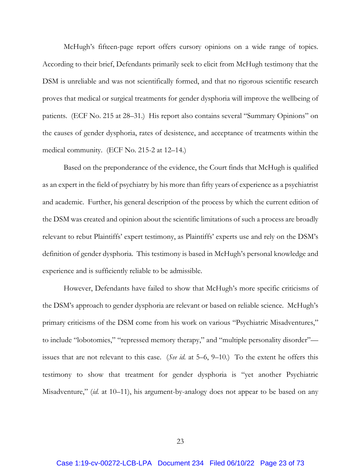McHugh's fifteen-page report offers cursory opinions on a wide range of topics. According to their brief, Defendants primarily seek to elicit from McHugh testimony that the DSM is unreliable and was not scientifically formed, and that no rigorous scientific research proves that medical or surgical treatments for gender dysphoria will improve the wellbeing of patients. (ECF No. 215 at 28–31.) His report also contains several "Summary Opinions" on the causes of gender dysphoria, rates of desistence, and acceptance of treatments within the medical community. (ECF No. 215-2 at 12–14.)

Based on the preponderance of the evidence, the Court finds that McHugh is qualified as an expert in the field of psychiatry by his more than fifty years of experience as a psychiatrist and academic. Further, his general description of the process by which the current edition of the DSM was created and opinion about the scientific limitations of such a process are broadly relevant to rebut Plaintiffs' expert testimony, as Plaintiffs' experts use and rely on the DSM's definition of gender dysphoria. This testimony is based in McHugh's personal knowledge and experience and is sufficiently reliable to be admissible.

However, Defendants have failed to show that McHugh's more specific criticisms of the DSM's approach to gender dysphoria are relevant or based on reliable science. McHugh's primary criticisms of the DSM come from his work on various "Psychiatric Misadventures," to include "lobotomies," "repressed memory therapy," and "multiple personality disorder" issues that are not relevant to this case. (*See id.* at 5–6, 9–10.) To the extent he offers this testimony to show that treatment for gender dysphoria is "yet another Psychiatric Misadventure," (*id.* at 10–11), his argument-by-analogy does not appear to be based on any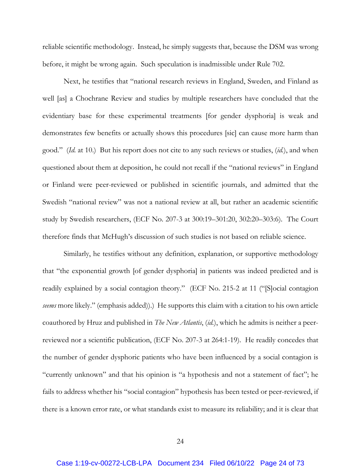reliable scientific methodology. Instead, he simply suggests that, because the DSM was wrong before, it might be wrong again. Such speculation is inadmissible under Rule 702.

Next, he testifies that "national research reviews in England, Sweden, and Finland as well [as] a Chochrane Review and studies by multiple researchers have concluded that the evidentiary base for these experimental treatments [for gender dysphoria] is weak and demonstrates few benefits or actually shows this procedures [sic] can cause more harm than good." (*Id.* at 10.) But his report does not cite to any such reviews or studies, (*id.*), and when questioned about them at deposition, he could not recall if the "national reviews" in England or Finland were peer-reviewed or published in scientific journals, and admitted that the Swedish "national review" was not a national review at all, but rather an academic scientific study by Swedish researchers, (ECF No. 207-3 at 300:19–301:20, 302:20–303:6). The Court therefore finds that McHugh's discussion of such studies is not based on reliable science.

Similarly, he testifies without any definition, explanation, or supportive methodology that "the exponential growth [of gender dysphoria] in patients was indeed predicted and is readily explained by a social contagion theory." (ECF No. 215-2 at 11 ("[S]ocial contagion *seems* more likely." (emphasis added)).) He supports this claim with a citation to his own article coauthored by Hruz and published in *The New Atlantis*, (*id.*), which he admits is neither a peerreviewed nor a scientific publication, (ECF No. 207-3 at 264:1-19). He readily concedes that the number of gender dysphoric patients who have been influenced by a social contagion is "currently unknown" and that his opinion is "a hypothesis and not a statement of fact"; he fails to address whether his "social contagion" hypothesis has been tested or peer-reviewed, if there is a known error rate, or what standards exist to measure its reliability; and it is clear that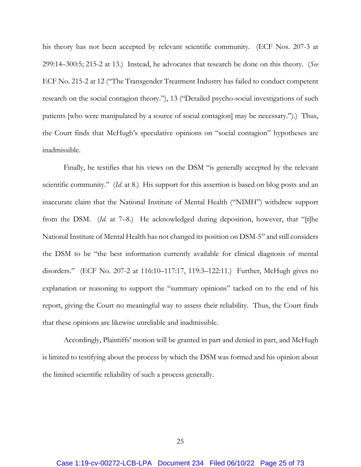his theory has not been accepted by relevant scientific community. (ECF Nos. 207-3 at 299:14–300:5; 215-2 at 13.) Instead, he advocates that research be done on this theory. (*See*  ECF No. 215-2 at 12 ("The Transgender Treatment Industry has failed to conduct competent research on the social contagion theory."), 13 ("Detailed psycho-social investigations of such patients [who were manipulated by a source of social contagion] may be necessary.").) Thus, the Court finds that McHugh's speculative opinions on "social contagion" hypotheses are inadmissible.

Finally, he testifies that his views on the DSM "is generally accepted by the relevant scientific community." (*Id.* at 8.) His support for this assertion is based on blog posts and an inaccurate claim that the National Institute of Mental Health ("NIMH") withdrew support from the DSM. (*Id.* at 7–8.) He acknowledged during deposition, however, that "[t]he National Institute of Mental Health has not changed its position on DSM-5" and still considers the DSM to be "the best information currently available for clinical diagnosis of mental disorders." (ECF No. 207-2 at 116:10–117:17, 119:3–122:11.) Further, McHugh gives no explanation or reasoning to support the "summary opinions" tacked on to the end of his report, giving the Court no meaningful way to assess their reliability. Thus, the Court finds that these opinions are likewise unreliable and inadmissible.

Accordingly, Plaintiffs' motion will be granted in part and denied in part, and McHugh is limited to testifying about the process by which the DSM was formed and his opinion about the limited scientific reliability of such a process generally.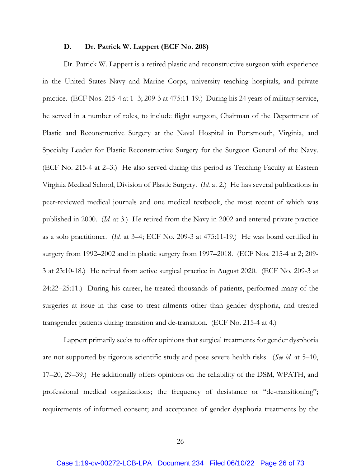#### **D. Dr. Patrick W. Lappert (ECF No. 208)**

Dr. Patrick W. Lappert is a retired plastic and reconstructive surgeon with experience in the United States Navy and Marine Corps, university teaching hospitals, and private practice. (ECF Nos. 215-4 at 1–3; 209-3 at 475:11-19.) During his 24 years of military service, he served in a number of roles, to include flight surgeon, Chairman of the Department of Plastic and Reconstructive Surgery at the Naval Hospital in Portsmouth, Virginia, and Specialty Leader for Plastic Reconstructive Surgery for the Surgeon General of the Navy. (ECF No. 215-4 at 2–3.) He also served during this period as Teaching Faculty at Eastern Virginia Medical School, Division of Plastic Surgery. (*Id.* at 2.) He has several publications in peer-reviewed medical journals and one medical textbook, the most recent of which was published in 2000. (*Id.* at 3.) He retired from the Navy in 2002 and entered private practice as a solo practitioner. (*Id.* at 3–4; ECF No. 209-3 at 475:11-19.) He was board certified in surgery from 1992–2002 and in plastic surgery from 1997–2018. (ECF Nos. 215-4 at 2; 209- 3 at 23:10-18.) He retired from active surgical practice in August 2020. (ECF No. 209-3 at 24:22–25:11.) During his career, he treated thousands of patients, performed many of the surgeries at issue in this case to treat ailments other than gender dysphoria, and treated transgender patients during transition and de-transition. (ECF No. 215-4 at 4.)

Lappert primarily seeks to offer opinions that surgical treatments for gender dysphoria are not supported by rigorous scientific study and pose severe health risks. (*See id.* at 5–10, 17–20, 29–39.) He additionally offers opinions on the reliability of the DSM, WPATH, and professional medical organizations; the frequency of desistance or "de-transitioning"; requirements of informed consent; and acceptance of gender dysphoria treatments by the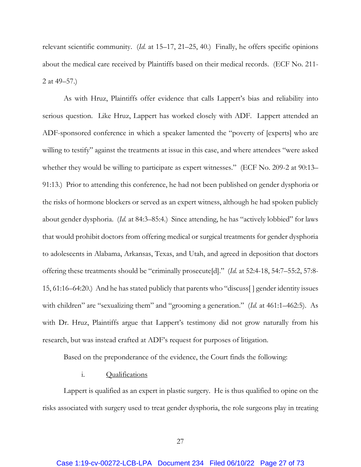relevant scientific community. (*Id.* at 15–17, 21–25, 40.) Finally, he offers specific opinions about the medical care received by Plaintiffs based on their medical records. (ECF No. 211- 2 at 49–57.)

As with Hruz, Plaintiffs offer evidence that calls Lappert's bias and reliability into serious question. Like Hruz, Lappert has worked closely with ADF. Lappert attended an ADF-sponsored conference in which a speaker lamented the "poverty of [experts] who are willing to testify" against the treatments at issue in this case, and where attendees "were asked whether they would be willing to participate as expert witnesses." (ECF No. 209-2 at 90:13– 91:13.) Prior to attending this conference, he had not been published on gender dysphoria or the risks of hormone blockers or served as an expert witness, although he had spoken publicly about gender dysphoria. (*Id.* at 84:3–85:4.) Since attending, he has "actively lobbied" for laws that would prohibit doctors from offering medical or surgical treatments for gender dysphoria to adolescents in Alabama, Arkansas, Texas, and Utah, and agreed in deposition that doctors offering these treatments should be "criminally prosecute[d]." (*Id.* at 52:4-18, 54:7–55:2, 57:8- 15, 61:16–64:20.) And he has stated publicly that parents who "discuss[ ] gender identity issues with children" are "sexualizing them" and "grooming a generation." (*Id.* at 461:1–462:5). As with Dr. Hruz, Plaintiffs argue that Lappert's testimony did not grow naturally from his research, but was instead crafted at ADF's request for purposes of litigation.

Based on the preponderance of the evidence, the Court finds the following:

# i. Qualifications

Lappert is qualified as an expert in plastic surgery. He is thus qualified to opine on the risks associated with surgery used to treat gender dysphoria, the role surgeons play in treating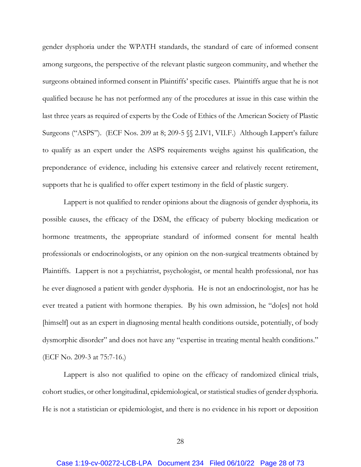gender dysphoria under the WPATH standards, the standard of care of informed consent among surgeons, the perspective of the relevant plastic surgeon community, and whether the surgeons obtained informed consent in Plaintiffs' specific cases. Plaintiffs argue that he is not qualified because he has not performed any of the procedures at issue in this case within the last three years as required of experts by the Code of Ethics of the American Society of Plastic Surgeons ("ASPS"). (ECF Nos. 209 at 8; 209-5 §§ 2.IV1, VII.F.) Although Lappert's failure to qualify as an expert under the ASPS requirements weighs against his qualification, the preponderance of evidence, including his extensive career and relatively recent retirement, supports that he is qualified to offer expert testimony in the field of plastic surgery.

Lappert is not qualified to render opinions about the diagnosis of gender dysphoria, its possible causes, the efficacy of the DSM, the efficacy of puberty blocking medication or hormone treatments, the appropriate standard of informed consent for mental health professionals or endocrinologists, or any opinion on the non-surgical treatments obtained by Plaintiffs. Lappert is not a psychiatrist, psychologist, or mental health professional, nor has he ever diagnosed a patient with gender dysphoria. He is not an endocrinologist, nor has he ever treated a patient with hormone therapies. By his own admission, he "do[es] not hold [himself] out as an expert in diagnosing mental health conditions outside, potentially, of body dysmorphic disorder" and does not have any "expertise in treating mental health conditions." (ECF No. 209-3 at 75:7-16.)

Lappert is also not qualified to opine on the efficacy of randomized clinical trials, cohort studies, or other longitudinal, epidemiological, or statistical studies of gender dysphoria. He is not a statistician or epidemiologist, and there is no evidence in his report or deposition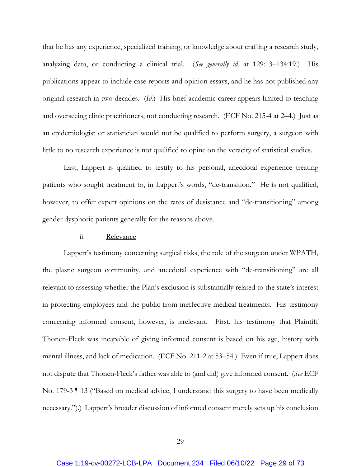that he has any experience, specialized training, or knowledge about crafting a research study, analyzing data, or conducting a clinical trial. (*See generally id.* at 129:13–134:19.) His publications appear to include case reports and opinion essays, and he has not published any original research in two decades. (*Id.*) His brief academic career appears limited to teaching and overseeing clinic practitioners, not conducting research. (ECF No. 215-4 at 2–4.) Just as an epidemiologist or statistician would not be qualified to perform surgery, a surgeon with little to no research experience is not qualified to opine on the veracity of statistical studies.

Last, Lappert is qualified to testify to his personal, anecdotal experience treating patients who sought treatment to, in Lappert's words, "de-transition." He is not qualified, however, to offer expert opinions on the rates of desistance and "de-transitioning" among gender dysphoric patients generally for the reasons above.

#### ii. Relevance

Lappert's testimony concerning surgical risks, the role of the surgeon under WPATH, the plastic surgeon community, and anecdotal experience with "de-transitioning" are all relevant to assessing whether the Plan's exclusion is substantially related to the state's interest in protecting employees and the public from ineffective medical treatments. His testimony concerning informed consent, however, is irrelevant. First, his testimony that Plaintiff Thonen-Fleck was incapable of giving informed consent is based on his age, history with mental illness, and lack of medication. (ECF No. 211-2 at 53–54.) Even if true, Lappert does not dispute that Thonen-Fleck's father was able to (and did) give informed consent. (*See* ECF No. 179-3 ¶ 13 ("Based on medical advice, I understand this surgery to have been medically necessary.").) Lappert's broader discussion of informed consent merely sets up his conclusion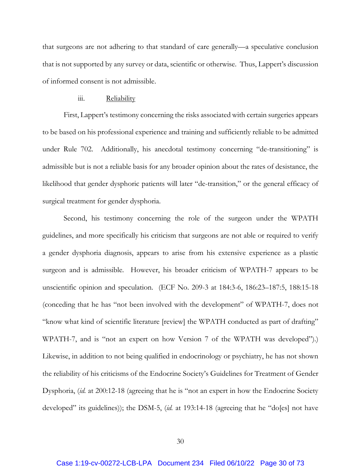that surgeons are not adhering to that standard of care generally—a speculative conclusion that is not supported by any survey or data, scientific or otherwise. Thus, Lappert's discussion of informed consent is not admissible.

## iii. Reliability

First, Lappert's testimony concerning the risks associated with certain surgeries appears to be based on his professional experience and training and sufficiently reliable to be admitted under Rule 702. Additionally, his anecdotal testimony concerning "de-transitioning" is admissible but is not a reliable basis for any broader opinion about the rates of desistance, the likelihood that gender dysphoric patients will later "de-transition," or the general efficacy of surgical treatment for gender dysphoria.

Second, his testimony concerning the role of the surgeon under the WPATH guidelines, and more specifically his criticism that surgeons are not able or required to verify a gender dysphoria diagnosis, appears to arise from his extensive experience as a plastic surgeon and is admissible. However, his broader criticism of WPATH-7 appears to be unscientific opinion and speculation. (ECF No. 209-3 at 184:3-6, 186:23–187:5, 188:15-18 (conceding that he has "not been involved with the development" of WPATH-7, does not "know what kind of scientific literature [review] the WPATH conducted as part of drafting" WPATH-7, and is "not an expert on how Version 7 of the WPATH was developed").) Likewise, in addition to not being qualified in endocrinology or psychiatry, he has not shown the reliability of his criticisms of the Endocrine Society's Guidelines for Treatment of Gender Dysphoria, (*id.* at 200:12-18 (agreeing that he is "not an expert in how the Endocrine Society developed" its guidelines)); the DSM-5, (*id.* at 193:14-18 (agreeing that he "do[es] not have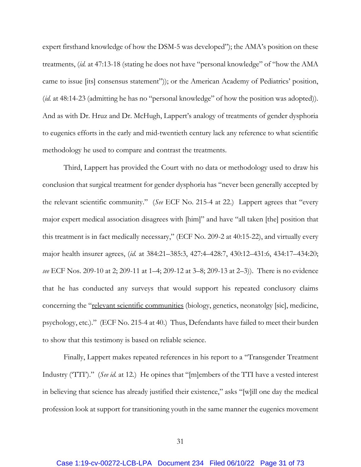expert firsthand knowledge of how the DSM-5 was developed"); the AMA's position on these treatments, (*id.* at 47:13-18 (stating he does not have "personal knowledge" of "how the AMA came to issue [its] consensus statement")); or the American Academy of Pediatrics' position, (*id.* at 48:14-23 (admitting he has no "personal knowledge" of how the position was adopted)). And as with Dr. Hruz and Dr. McHugh, Lappert's analogy of treatments of gender dysphoria to eugenics efforts in the early and mid-twentieth century lack any reference to what scientific methodology he used to compare and contrast the treatments.

Third, Lappert has provided the Court with no data or methodology used to draw his conclusion that surgical treatment for gender dysphoria has "never been generally accepted by the relevant scientific community." (*See* ECF No. 215-4 at 22.) Lappert agrees that "every major expert medical association disagrees with [him]" and have "all taken [the] position that this treatment is in fact medically necessary," (ECF No. 209-2 at 40:15-22), and virtually every major health insurer agrees, (*id.* at 384:21–385:3, 427:4–428:7, 430:12–431:6, 434:17–434:20; *see* ECF Nos. 209-10 at 2; 209-11 at 1–4; 209-12 at 3–8; 209-13 at 2–3)). There is no evidence that he has conducted any surveys that would support his repeated conclusory claims concerning the "relevant scientific communities (biology, genetics, neonatolgy [sic], medicine, psychology, etc.)." (ECF No. 215-4 at 40.) Thus, Defendants have failed to meet their burden to show that this testimony is based on reliable science.

Finally, Lappert makes repeated references in his report to a "Transgender Treatment Industry ('TTI')." (*See id.* at 12.) He opines that "[m]embers of the TTI have a vested interest in believing that science has already justified their existence," asks "[w]ill one day the medical profession look at support for transitioning youth in the same manner the eugenics movement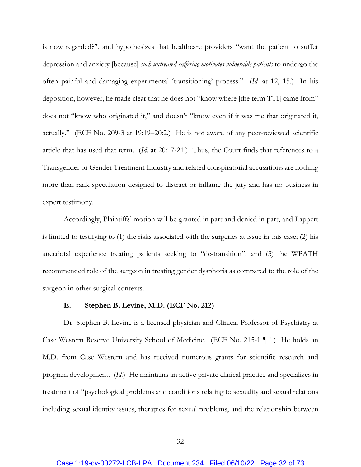is now regarded?", and hypothesizes that healthcare providers "want the patient to suffer depression and anxiety [because] *such untreated suffering motivates vulnerable patients* to undergo the often painful and damaging experimental 'transitioning' process." (*Id.* at 12, 15.) In his deposition, however, he made clear that he does not "know where [the term TTI] came from" does not "know who originated it," and doesn't "know even if it was me that originated it, actually." (ECF No. 209-3 at 19:19–20:2.) He is not aware of any peer-reviewed scientific article that has used that term. (*Id.* at 20:17-21.) Thus, the Court finds that references to a Transgender or Gender Treatment Industry and related conspiratorial accusations are nothing more than rank speculation designed to distract or inflame the jury and has no business in expert testimony.

Accordingly, Plaintiffs' motion will be granted in part and denied in part, and Lappert is limited to testifying to (1) the risks associated with the surgeries at issue in this case; (2) his anecdotal experience treating patients seeking to "de-transition"; and (3) the WPATH recommended role of the surgeon in treating gender dysphoria as compared to the role of the surgeon in other surgical contexts.

## **E. Stephen B. Levine, M.D. (ECF No. 212)**

Dr. Stephen B. Levine is a licensed physician and Clinical Professor of Psychiatry at Case Western Reserve University School of Medicine. (ECF No. 215-1 ¶ 1.) He holds an M.D. from Case Western and has received numerous grants for scientific research and program development. (*Id.*) He maintains an active private clinical practice and specializes in treatment of "psychological problems and conditions relating to sexuality and sexual relations including sexual identity issues, therapies for sexual problems, and the relationship between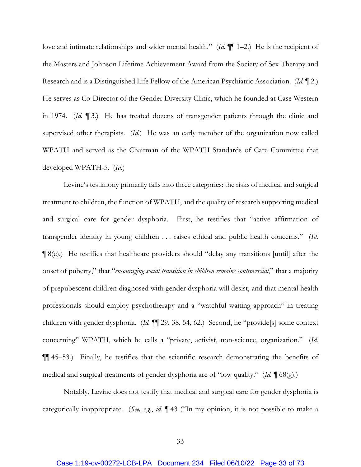love and intimate relationships and wider mental health." (*Id.* ¶¶ 1–2.) He is the recipient of the Masters and Johnson Lifetime Achievement Award from the Society of Sex Therapy and Research and is a Distinguished Life Fellow of the American Psychiatric Association. (*Id.* ¶ 2.) He serves as Co-Director of the Gender Diversity Clinic, which he founded at Case Western in 1974. (*Id.* ¶ 3.) He has treated dozens of transgender patients through the clinic and supervised other therapists. (*Id.*) He was an early member of the organization now called WPATH and served as the Chairman of the WPATH Standards of Care Committee that developed WPATH-5. (*Id.*)

Levine's testimony primarily falls into three categories: the risks of medical and surgical treatment to children, the function of WPATH, and the quality of research supporting medical and surgical care for gender dysphoria. First, he testifies that "active affirmation of transgender identity in young children . . . raises ethical and public health concerns." (*Id.* ¶ 8(e).) He testifies that healthcare providers should "delay any transitions [until] after the onset of puberty," that "*encouraging social transition in children remains controversial*," that a majority of prepubescent children diagnosed with gender dysphoria will desist, and that mental health professionals should employ psychotherapy and a "watchful waiting approach" in treating children with gender dysphoria. (*Id.* ¶¶ 29, 38, 54, 62.) Second, he "provide[s] some context concerning" WPATH, which he calls a "private, activist, non-science, organization." (*Id.* ¶¶ 45–53.) Finally, he testifies that the scientific research demonstrating the benefits of medical and surgical treatments of gender dysphoria are of "low quality." (*Id.* ¶ 68(g).)

Notably, Levine does not testify that medical and surgical care for gender dysphoria is categorically inappropriate. (*See, e.g.*, *id.* ¶ 43 ("In my opinion, it is not possible to make a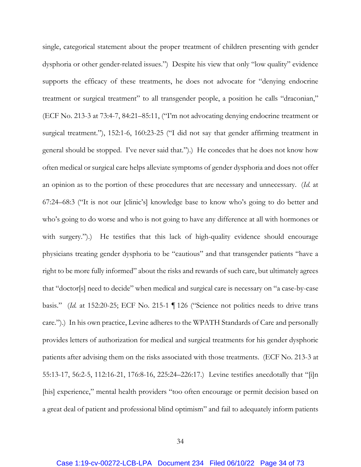single, categorical statement about the proper treatment of children presenting with gender dysphoria or other gender-related issues.") Despite his view that only "low quality" evidence supports the efficacy of these treatments, he does not advocate for "denying endocrine treatment or surgical treatment" to all transgender people, a position he calls "draconian," (ECF No. 213-3 at 73:4-7, 84:21–85:11, ("I'm not advocating denying endocrine treatment or surgical treatment."), 152:1-6, 160:23-25 ("I did not say that gender affirming treatment in general should be stopped. I've never said that.").) He concedes that he does not know how often medical or surgical care helps alleviate symptoms of gender dysphoria and does not offer an opinion as to the portion of these procedures that are necessary and unnecessary. (*Id.* at 67:24–68:3 ("It is not our [clinic's] knowledge base to know who's going to do better and who's going to do worse and who is not going to have any difference at all with hormones or with surgery.").) He testifies that this lack of high-quality evidence should encourage physicians treating gender dysphoria to be "cautious" and that transgender patients "have a right to be more fully informed" about the risks and rewards of such care, but ultimately agrees that "doctor[s] need to decide" when medical and surgical care is necessary on "a case-by-case basis." (*Id.* at 152:20-25; ECF No. 215-1 ¶ 126 ("Science not politics needs to drive trans care.").) In his own practice, Levine adheres to the WPATH Standards of Care and personally provides letters of authorization for medical and surgical treatments for his gender dysphoric patients after advising them on the risks associated with those treatments. (ECF No. 213-3 at 55:13-17, 56:2-5, 112:16-21, 176:8-16, 225:24–226:17.) Levine testifies anecdotally that "[i]n [his] experience," mental health providers "too often encourage or permit decision based on a great deal of patient and professional blind optimism" and fail to adequately inform patients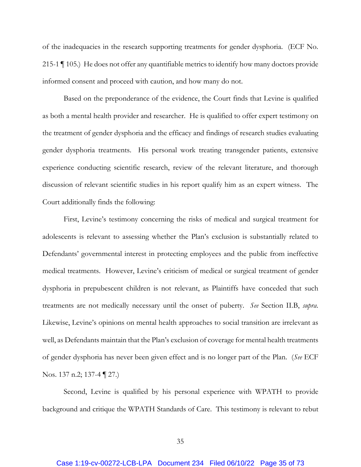of the inadequacies in the research supporting treatments for gender dysphoria. (ECF No. 215-1 ¶ 105.) He does not offer any quantifiable metrics to identify how many doctors provide informed consent and proceed with caution, and how many do not.

Based on the preponderance of the evidence, the Court finds that Levine is qualified as both a mental health provider and researcher. He is qualified to offer expert testimony on the treatment of gender dysphoria and the efficacy and findings of research studies evaluating gender dysphoria treatments. His personal work treating transgender patients, extensive experience conducting scientific research, review of the relevant literature, and thorough discussion of relevant scientific studies in his report qualify him as an expert witness. The Court additionally finds the following:

First, Levine's testimony concerning the risks of medical and surgical treatment for adolescents is relevant to assessing whether the Plan's exclusion is substantially related to Defendants' governmental interest in protecting employees and the public from ineffective medical treatments. However, Levine's criticism of medical or surgical treatment of gender dysphoria in prepubescent children is not relevant, as Plaintiffs have conceded that such treatments are not medically necessary until the onset of puberty. *See* Section II.B, *supra*. Likewise, Levine's opinions on mental health approaches to social transition are irrelevant as well, as Defendants maintain that the Plan's exclusion of coverage for mental health treatments of gender dysphoria has never been given effect and is no longer part of the Plan. (*See* ECF Nos. 137 n.2; 137-4 ¶ 27.)

Second, Levine is qualified by his personal experience with WPATH to provide background and critique the WPATH Standards of Care. This testimony is relevant to rebut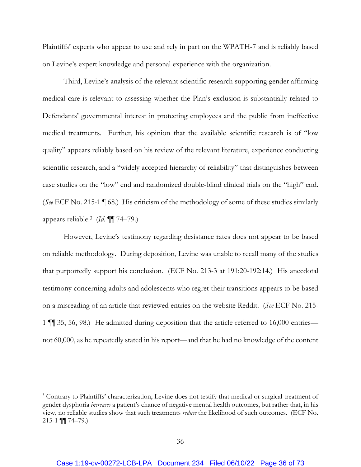Plaintiffs' experts who appear to use and rely in part on the WPATH-7 and is reliably based on Levine's expert knowledge and personal experience with the organization.

Third, Levine's analysis of the relevant scientific research supporting gender affirming medical care is relevant to assessing whether the Plan's exclusion is substantially related to Defendants' governmental interest in protecting employees and the public from ineffective medical treatments. Further, his opinion that the available scientific research is of "low quality" appears reliably based on his review of the relevant literature, experience conducting scientific research, and a "widely accepted hierarchy of reliability" that distinguishes between case studies on the "low" end and randomized double-blind clinical trials on the "high" end. (*See* ECF No. 215-1 ¶ 68.) His criticism of the methodology of some of these studies similarly appears reliable.3 (*Id.* ¶¶ 74–79.)

However, Levine's testimony regarding desistance rates does not appear to be based on reliable methodology. During deposition, Levine was unable to recall many of the studies that purportedly support his conclusion. (ECF No. 213-3 at 191:20-192:14.) His anecdotal testimony concerning adults and adolescents who regret their transitions appears to be based on a misreading of an article that reviewed entries on the website Reddit. (*See* ECF No. 215- 1 ¶¶ 35, 56, 98.) He admitted during deposition that the article referred to 16,000 entries not 60,000, as he repeatedly stated in his report—and that he had no knowledge of the content

<sup>&</sup>lt;sup>3</sup> Contrary to Plaintiffs' characterization, Levine does not testify that medical or surgical treatment of gender dysphoria *increases* a patient's chance of negative mental health outcomes, but rather that, in his view, no reliable studies show that such treatments *reduce* the likelihood of such outcomes. (ECF No.  $215-1$  ¶  $74-79$ .)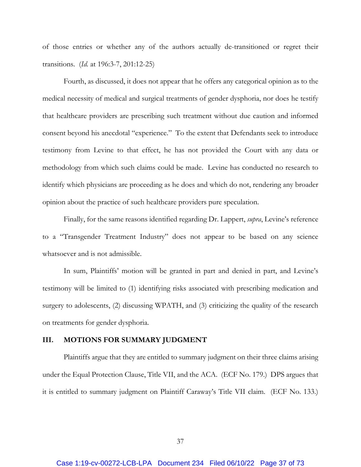of those entries or whether any of the authors actually de-transitioned or regret their transitions. (*Id.* at 196:3-7, 201:12-25)

Fourth, as discussed, it does not appear that he offers any categorical opinion as to the medical necessity of medical and surgical treatments of gender dysphoria, nor does he testify that healthcare providers are prescribing such treatment without due caution and informed consent beyond his anecdotal "experience." To the extent that Defendants seek to introduce testimony from Levine to that effect, he has not provided the Court with any data or methodology from which such claims could be made. Levine has conducted no research to identify which physicians are proceeding as he does and which do not, rendering any broader opinion about the practice of such healthcare providers pure speculation.

Finally, for the same reasons identified regarding Dr. Lappert, *supra*, Levine's reference to a "Transgender Treatment Industry" does not appear to be based on any science whatsoever and is not admissible.

In sum, Plaintiffs' motion will be granted in part and denied in part, and Levine's testimony will be limited to (1) identifying risks associated with prescribing medication and surgery to adolescents, (2) discussing WPATH, and (3) criticizing the quality of the research on treatments for gender dysphoria.

### **III. MOTIONS FOR SUMMARY JUDGMENT**

Plaintiffs argue that they are entitled to summary judgment on their three claims arising under the Equal Protection Clause, Title VII, and the ACA. (ECF No. 179.) DPS argues that it is entitled to summary judgment on Plaintiff Caraway's Title VII claim. (ECF No. 133.)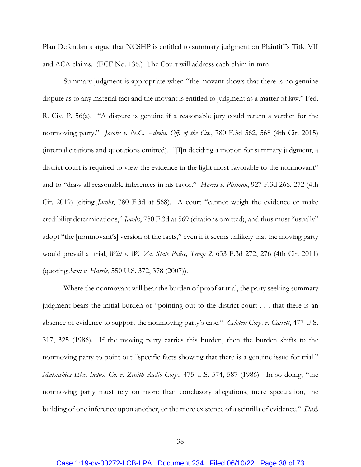Plan Defendants argue that NCSHP is entitled to summary judgment on Plaintiff's Title VII and ACA claims. (ECF No. 136.) The Court will address each claim in turn.

Summary judgment is appropriate when "the movant shows that there is no genuine dispute as to any material fact and the movant is entitled to judgment as a matter of law." Fed. R. Civ. P. 56(a). "A dispute is genuine if a reasonable jury could return a verdict for the nonmoving party." *Jacobs v. N.C. Admin. Off. of the Cts.*, 780 F.3d 562, 568 (4th Cir. 2015) (internal citations and quotations omitted). "[I]n deciding a motion for summary judgment, a district court is required to view the evidence in the light most favorable to the nonmovant" and to "draw all reasonable inferences in his favor." *Harris v. Pittman*, 927 F.3d 266, 272 (4th Cir. 2019) (citing *Jacobs*, 780 F.3d at 568). A court "cannot weigh the evidence or make credibility determinations," *Jacobs*, 780 F.3d at 569 (citations omitted), and thus must "usually" adopt "the [nonmovant's] version of the facts," even if it seems unlikely that the moving party would prevail at trial, *Witt v. W. Va. State Police, Troop 2*, 633 F.3d 272, 276 (4th Cir. 2011) (quoting *Scott v. Harris*, 550 U.S. 372, 378 (2007)).

Where the nonmovant will bear the burden of proof at trial, the party seeking summary judgment bears the initial burden of "pointing out to the district court . . . that there is an absence of evidence to support the nonmoving party's case." *Celotex Corp. v. Catrett*, 477 U.S. 317, 325 (1986). If the moving party carries this burden, then the burden shifts to the nonmoving party to point out "specific facts showing that there is a genuine issue for trial." *Matsushita Elec. Indus. Co. v. Zenith Radio Corp.*, 475 U.S. 574, 587 (1986). In so doing, "the nonmoving party must rely on more than conclusory allegations, mere speculation, the building of one inference upon another, or the mere existence of a scintilla of evidence." *Dash*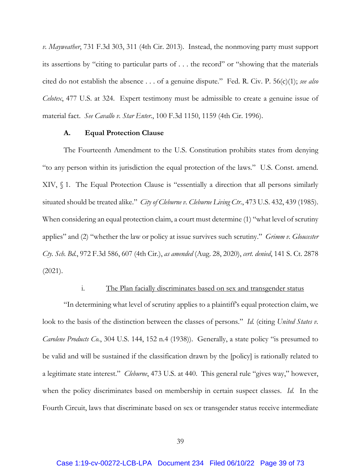*v. Mayweather*, 731 F.3d 303, 311 (4th Cir. 2013). Instead, the nonmoving party must support its assertions by "citing to particular parts of . . . the record" or "showing that the materials cited do not establish the absence . . . of a genuine dispute." Fed. R. Civ. P. 56(c)(1); *see also Celotex*, 477 U.S. at 324. Expert testimony must be admissible to create a genuine issue of material fact. *See Cavallo v. Star Enter.*, 100 F.3d 1150, 1159 (4th Cir. 1996).

#### **A. Equal Protection Clause**

The Fourteenth Amendment to the U.S. Constitution prohibits states from denying "to any person within its jurisdiction the equal protection of the laws." U.S. Const. amend. XIV, § 1. The Equal Protection Clause is "essentially a direction that all persons similarly situated should be treated alike." *City of Cleburne v. Cleburne Living Ctr.*, 473 U.S. 432, 439 (1985). When considering an equal protection claim, a court must determine (1) "what level of scrutiny applies" and (2) "whether the law or policy at issue survives such scrutiny." *Grimm v. Gloucester Cty. Sch. Bd.*, 972 F.3d 586, 607 (4th Cir.), *as amended* (Aug. 28, 2020), *cert. denied*, 141 S. Ct. 2878 (2021).

## i. The Plan facially discriminates based on sex and transgender status

"In determining what level of scrutiny applies to a plaintiff's equal protection claim, we look to the basis of the distinction between the classes of persons." *Id.* (citing *United States v. Carolene Products Co.*, 304 U.S. 144, 152 n.4 (1938)). Generally, a state policy "is presumed to be valid and will be sustained if the classification drawn by the [policy] is rationally related to a legitimate state interest." *Cleburne*, 473 U.S. at 440. This general rule "gives way," however, when the policy discriminates based on membership in certain suspect classes. *Id.* In the Fourth Circuit, laws that discriminate based on sex or transgender status receive intermediate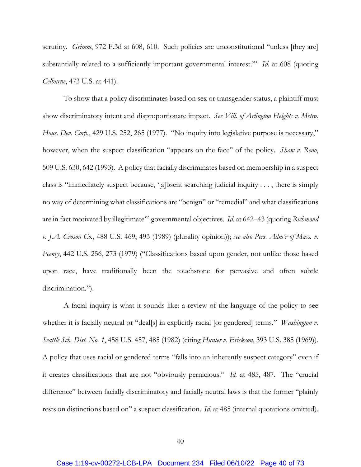scrutiny. *Grimm*, 972 F.3d at 608, 610. Such policies are unconstitutional "unless [they are] substantially related to a sufficiently important governmental interest.'" *Id.* at 608 (quoting *Celburne*, 473 U.S. at 441).

To show that a policy discriminates based on sex or transgender status, a plaintiff must show discriminatory intent and disproportionate impact. *See Vill. of Arlington Heights v. Metro. Hous. Dev. Corp.*, 429 U.S. 252, 265 (1977). "No inquiry into legislative purpose is necessary," however, when the suspect classification "appears on the face" of the policy. *Shaw v. Reno*, 509 U.S. 630, 642 (1993). A policy that facially discriminates based on membership in a suspect class is "immediately suspect because, '[a]bsent searching judicial inquiry . . . , there is simply no way of determining what classifications are "benign" or "remedial" and what classifications are in fact motivated by illegitimate'" governmental objectives. *Id.* at 642–43 (quoting *Richmond v. J.A. Croson Co.*, 488 U.S. 469, 493 (1989) (plurality opinion)); *see also Pers. Adm'r of Mass. v. Feeney*, 442 U.S. 256, 273 (1979) ("Classifications based upon gender, not unlike those based upon race, have traditionally been the touchstone for pervasive and often subtle discrimination.").

A facial inquiry is what it sounds like: a review of the language of the policy to see whether it is facially neutral or "deal[s] in explicitly racial [or gendered] terms." *Washington v. Seattle Sch. Dist. No. 1*, 458 U.S. 457, 485 (1982) (citing *Hunter v. Erickson*, 393 U.S. 385 (1969)). A policy that uses racial or gendered terms "falls into an inherently suspect category" even if it creates classifications that are not "obviously pernicious." *Id.* at 485, 487. The "crucial difference" between facially discriminatory and facially neutral laws is that the former "plainly rests on distinctions based on" a suspect classification. *Id.* at 485 (internal quotations omitted).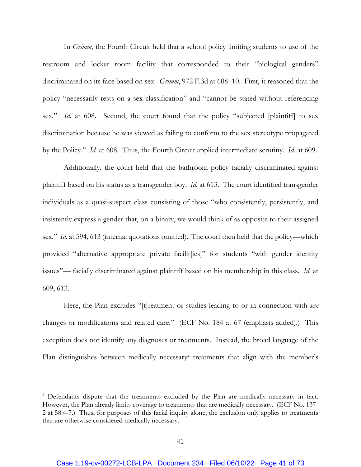In *Grimm*, the Fourth Circuit held that a school policy limiting students to use of the restroom and locker room facility that corresponded to their "biological genders" discriminated on its face based on sex. *Grimm*, 972 F.3d at 608–10. First, it reasoned that the policy "necessarily rests on a sex classification" and "cannot be stated without referencing sex." *Id.* at 608. Second, the court found that the policy "subjected [plaintiff] to sex discrimination because he was viewed as failing to conform to the sex stereotype propagated by the Policy." *Id.* at 608. Thus, the Fourth Circuit applied intermediate scrutiny. *Id.* at 609.

Additionally, the court held that the bathroom policy facially discriminated against plaintiff based on his status as a transgender boy. *Id.* at 613. The court identified transgender individuals as a quasi-suspect class consisting of those "who consistently, persistently, and insistently express a gender that, on a binary, we would think of as opposite to their assigned sex." *Id.* at 594, 613 (internal quotations omitted). The court then held that the policy—which provided "alternative appropriate private facilit [ies]" for students "with gender identity issues"— facially discriminated against plaintiff based on his membership in this class. *Id.* at 609, 613.

Here, the Plan excludes "[t]reatment or studies leading to or in connection with *sex* changes or modifications and related care." (ECF No. 184 at 67 (emphasis added).) This exception does not identify any diagnoses or treatments. Instead, the broad language of the Plan distinguishes between medically necessary<sup>4</sup> treatments that align with the member's

<sup>&</sup>lt;sup>4</sup> Defendants dispute that the treatments excluded by the Plan are medically necessary in fact. However, the Plan already limits coverage to treatments that are medically necessary. (ECF No. 137- 2 at 58:4-7.) Thus, for purposes of this facial inquiry alone, the exclusion only applies to treatments that are otherwise considered medically necessary.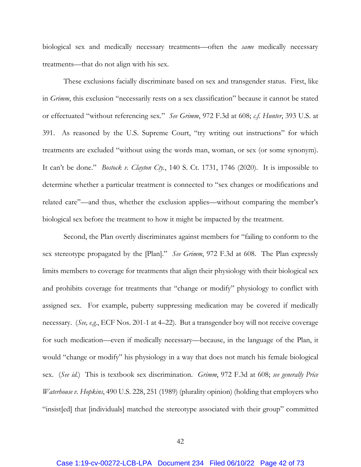biological sex and medically necessary treatments—often the *same* medically necessary treatments—that do not align with his sex.

These exclusions facially discriminate based on sex and transgender status. First, like in *Grimm*, this exclusion "necessarily rests on a sex classification" because it cannot be stated or effectuated "without referencing sex." *See Grimm*, 972 F.3d at 608; *c.f. Hunter*, 393 U.S. at 391. As reasoned by the U.S. Supreme Court, "try writing out instructions" for which treatments are excluded "without using the words man, woman, or sex (or some synonym). It can't be done." *Bostock v. Clayton Cty.*, 140 S. Ct. 1731, 1746 (2020). It is impossible to determine whether a particular treatment is connected to "sex changes or modifications and related care"—and thus, whether the exclusion applies—without comparing the member's biological sex before the treatment to how it might be impacted by the treatment.

Second, the Plan overtly discriminates against members for "failing to conform to the sex stereotype propagated by the [Plan]." *See Grimm*, 972 F.3d at 608. The Plan expressly limits members to coverage for treatments that align their physiology with their biological sex and prohibits coverage for treatments that "change or modify" physiology to conflict with assigned sex. For example, puberty suppressing medication may be covered if medically necessary. (*See, e.g.*, ECF Nos. 201-1 at 4–22). But a transgender boy will not receive coverage for such medication—even if medically necessary—because, in the language of the Plan, it would "change or modify" his physiology in a way that does not match his female biological sex. (*See id.*) This is textbook sex discrimination. *Grimm*, 972 F.3d at 608; *see generally Price Waterhouse v. Hopkins*, 490 U.S. 228, 251 (1989) (plurality opinion) (holding that employers who "insist[ed] that [individuals] matched the stereotype associated with their group" committed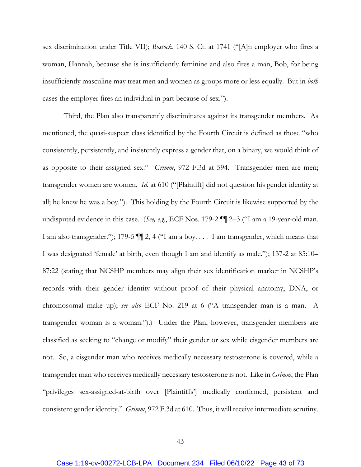sex discrimination under Title VII); *Bostock*, 140 S. Ct. at 1741 ("[A]n employer who fires a woman, Hannah, because she is insufficiently feminine and also fires a man, Bob, for being insufficiently masculine may treat men and women as groups more or less equally. But in *both* cases the employer fires an individual in part because of sex.").

Third, the Plan also transparently discriminates against its transgender members. As mentioned, the quasi-suspect class identified by the Fourth Circuit is defined as those "who consistently, persistently, and insistently express a gender that, on a binary, we would think of as opposite to their assigned sex." *Grimm*, 972 F.3d at 594. Transgender men are men; transgender women are women. *Id.* at 610 ("[Plaintiff] did not question his gender identity at all; he knew he was a boy."). This holding by the Fourth Circuit is likewise supported by the undisputed evidence in this case. (*See, e.g.*, ECF Nos. 179-2 ¶¶ 2–3 ("I am a 19-year-old man. I am also transgender."); 179-5 ¶¶ 2, 4 ("I am a boy. . . . I am transgender, which means that I was designated 'female' at birth, even though I am and identify as male."); 137-2 at 85:10– 87:22 (stating that NCSHP members may align their sex identification marker in NCSHP's records with their gender identity without proof of their physical anatomy, DNA, or chromosomal make up); *see also* ECF No. 219 at 6 ("A transgender man is a man. A transgender woman is a woman.").) Under the Plan, however, transgender members are classified as seeking to "change or modify" their gender or sex while cisgender members are not. So, a cisgender man who receives medically necessary testosterone is covered, while a transgender man who receives medically necessary testosterone is not. Like in *Grimm*, the Plan "privileges sex-assigned-at-birth over [Plaintiffs'] medically confirmed, persistent and consistent gender identity." *Grimm*, 972 F.3d at 610. Thus, it will receive intermediate scrutiny.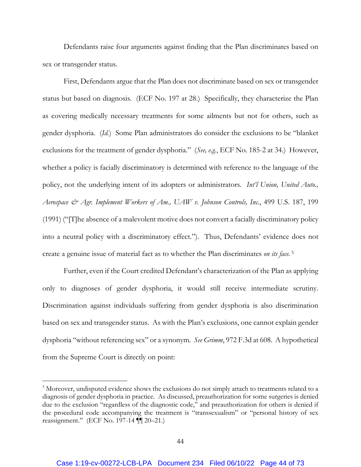Defendants raise four arguments against finding that the Plan discriminates based on sex or transgender status.

First, Defendants argue that the Plan does not discriminate based on sex or transgender status but based on diagnosis. (ECF No. 197 at 28.) Specifically, they characterize the Plan as covering medically necessary treatments for some ailments but not for others, such as gender dysphoria. (*Id.*) Some Plan administrators do consider the exclusions to be "blanket exclusions for the treatment of gender dysphoria." (*See, e.g.*, ECF No. 185-2 at 34.) However, whether a policy is facially discriminatory is determined with reference to the language of the policy, not the underlying intent of its adopters or administrators. *Int'l Union, United Auto., Aerospace & Agr. Implement Workers of Am., UAW v. Johnson Controls, Inc.*, 499 U.S. 187, 199 (1991) ("[T]he absence of a malevolent motive does not convert a facially discriminatory policy into a neutral policy with a discriminatory effect."). Thus, Defendants' evidence does not create a genuine issue of material fact as to whether the Plan discriminates *on its face.* 5

Further, even if the Court credited Defendant's characterization of the Plan as applying only to diagnoses of gender dysphoria, it would still receive intermediate scrutiny. Discrimination against individuals suffering from gender dysphoria is also discrimination based on sex and transgender status. As with the Plan's exclusions, one cannot explain gender dysphoria "without referencing sex" or a synonym. *See Grimm*, 972 F.3d at 608. A hypothetical from the Supreme Court is directly on point:

<sup>&</sup>lt;sup>5</sup> Moreover, undisputed evidence shows the exclusions do not simply attach to treatments related to a diagnosis of gender dysphoria in practice. As discussed, preauthorization for some surgeries is denied due to the exclusion "regardless of the diagnostic code," and preauthorization for others is denied if the procedural code accompanying the treatment is "transsexualism" or "personal history of sex reassignment." (ECF No. 197-14 ¶¶ 20–21.)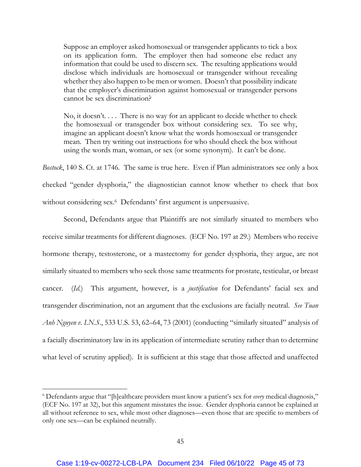Suppose an employer asked homosexual or transgender applicants to tick a box on its application form. The employer then had someone else redact any information that could be used to discern sex. The resulting applications would disclose which individuals are homosexual or transgender without revealing whether they also happen to be men or women. Doesn't that possibility indicate that the employer's discrimination against homosexual or transgender persons cannot be sex discrimination?

No, it doesn't. . . . There is no way for an applicant to decide whether to check the homosexual or transgender box without considering sex. To see why, imagine an applicant doesn't know what the words homosexual or transgender mean. Then try writing out instructions for who should check the box without using the words man, woman, or sex (or some synonym). It can't be done.

*Bostock*, 140 S. Ct. at 1746*.* The same is true here. Even if Plan administrators see only a box checked "gender dysphoria," the diagnostician cannot know whether to check that box without considering sex.<sup>6</sup> Defendants' first argument is unpersuasive.

Second, Defendants argue that Plaintiffs are not similarly situated to members who receive similar treatments for different diagnoses. (ECF No. 197 at 29.) Members who receive hormone therapy, testosterone, or a mastectomy for gender dysphoria, they argue, are not similarly situated to members who seek those same treatments for prostate, testicular, or breast cancer. (*Id.*) This argument, however, is a *justification* for Defendants' facial sex and transgender discrimination, not an argument that the exclusions are facially neutral. *See Tuan Anh Nguyen v. I.N.S.*, 533 U.S. 53, 62–64, 73 (2001) (conducting "similarly situated" analysis of a facially discriminatory law in its application of intermediate scrutiny rather than to determine what level of scrutiny applied). It is sufficient at this stage that those affected and unaffected

<sup>6</sup> Defendants argue that "[h]ealthcare providers must know a patient's sex for *every* medical diagnosis," (ECF No. 197 at 32), but this argument misstates the issue. Gender dysphoria cannot be explained at all without reference to sex, while most other diagnoses—even those that are specific to members of only one sex—can be explained neutrally.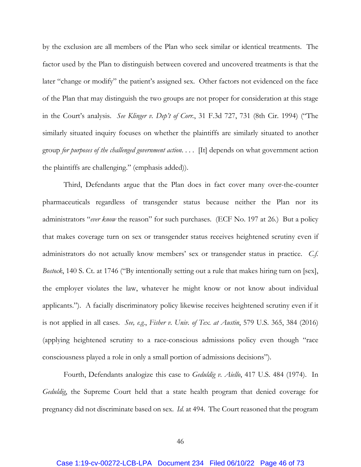by the exclusion are all members of the Plan who seek similar or identical treatments. The factor used by the Plan to distinguish between covered and uncovered treatments is that the later "change or modify" the patient's assigned sex. Other factors not evidenced on the face of the Plan that may distinguish the two groups are not proper for consideration at this stage in the Court's analysis. *See Klinger v. Dep't of Corr.*, 31 F.3d 727, 731 (8th Cir. 1994) ("The similarly situated inquiry focuses on whether the plaintiffs are similarly situated to another group *for purposes of the challenged government action*. . . . [It] depends on what government action the plaintiffs are challenging." (emphasis added)).

Third, Defendants argue that the Plan does in fact cover many over-the-counter pharmaceuticals regardless of transgender status because neither the Plan nor its administrators "*ever know* the reason" for such purchases. (ECF No. 197 at 26.) But a policy that makes coverage turn on sex or transgender status receives heightened scrutiny even if administrators do not actually know members' sex or transgender status in practice. *C.f. Bostock*, 140 S. Ct. at 1746 ("By intentionally setting out a rule that makes hiring turn on [sex], the employer violates the law, whatever he might know or not know about individual applicants."). A facially discriminatory policy likewise receives heightened scrutiny even if it is not applied in all cases. *See, e.g.*, *Fisher v. Univ. of Tex. at Austin*, 579 U.S. 365, 384 (2016) (applying heightened scrutiny to a race-conscious admissions policy even though "race consciousness played a role in only a small portion of admissions decisions").

Fourth, Defendants analogize this case to *Geduldig v. Aiello*, 417 U.S. 484 (1974). In *Geduldig*, the Supreme Court held that a state health program that denied coverage for pregnancy did not discriminate based on sex. *Id.* at 494. The Court reasoned that the program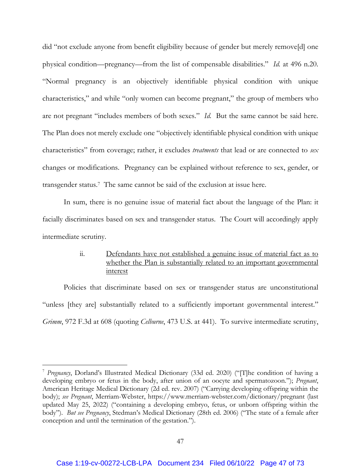did "not exclude anyone from benefit eligibility because of gender but merely remove[d] one physical condition—pregnancy—from the list of compensable disabilities." *Id.* at 496 n.20. "Normal pregnancy is an objectively identifiable physical condition with unique characteristics," and while "only women can become pregnant," the group of members who are not pregnant "includes members of both sexes." *Id.* But the same cannot be said here. The Plan does not merely exclude one "objectively identifiable physical condition with unique characteristics" from coverage; rather, it excludes *treatments* that lead or are connected to *sex* changes or modifications. Pregnancy can be explained without reference to sex, gender, or transgender status.7 The same cannot be said of the exclusion at issue here.

In sum, there is no genuine issue of material fact about the language of the Plan: it facially discriminates based on sex and transgender status. The Court will accordingly apply intermediate scrutiny.

# ii. Defendants have not established a genuine issue of material fact as to whether the Plan is substantially related to an important governmental interest

Policies that discriminate based on sex or transgender status are unconstitutional "unless [they are] substantially related to a sufficiently important governmental interest." *Grimm*, 972 F.3d at 608 (quoting *Celburne*, 473 U.S. at 441). To survive intermediate scrutiny,

<sup>7</sup> *Pregnancy*, Dorland's Illustrated Medical Dictionary (33d ed. 2020) ("[T]he condition of having a developing embryo or fetus in the body, after union of an oocyte and spermatozoon."); *Pregnant*, American Heritage Medical Dictionary (2d ed. rev. 2007) ("Carrying developing offspring within the body); *see Pregnant*, Merriam-Webster, https://www.merriam-webster.com/dictionary/pregnant (last updated May 25, 2022) ("containing a developing embryo, fetus, or unborn offspring within the body"). *But see Pregnancy*, Stedman's Medical Dictionary (28th ed. 2006) ("The state of a female after conception and until the termination of the gestation.").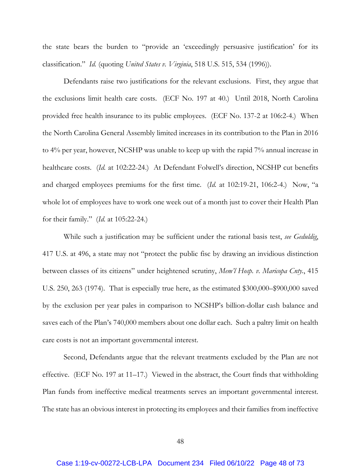the state bears the burden to "provide an 'exceedingly persuasive justification' for its classification." *Id.* (quoting *United States v. Virginia*, 518 U.S. 515, 534 (1996)).

Defendants raise two justifications for the relevant exclusions. First, they argue that the exclusions limit health care costs. (ECF No. 197 at 40.) Until 2018, North Carolina provided free health insurance to its public employees. (ECF No. 137-2 at 106:2-4.) When the North Carolina General Assembly limited increases in its contribution to the Plan in 2016 to 4% per year, however, NCSHP was unable to keep up with the rapid 7% annual increase in healthcare costs. (*Id.* at 102:22-24.) At Defendant Folwell's direction, NCSHP cut benefits and charged employees premiums for the first time. (*Id.* at 102:19-21, 106:2-4.) Now, "a whole lot of employees have to work one week out of a month just to cover their Health Plan for their family." (*Id.* at 105:22-24.)

While such a justification may be sufficient under the rational basis test, *see Geduldig*, 417 U.S. at 496, a state may not "protect the public fisc by drawing an invidious distinction between classes of its citizens" under heightened scrutiny, *Mem'l Hosp. v. Maricopa Cnty.*, 415 U.S. 250, 263 (1974). That is especially true here, as the estimated \$300,000–\$900,000 saved by the exclusion per year pales in comparison to NCSHP's billion-dollar cash balance and saves each of the Plan's 740,000 members about one dollar each. Such a paltry limit on health care costs is not an important governmental interest.

Second, Defendants argue that the relevant treatments excluded by the Plan are not effective. (ECF No. 197 at 11–17.) Viewed in the abstract, the Court finds that withholding Plan funds from ineffective medical treatments serves an important governmental interest. The state has an obvious interest in protecting its employees and their families from ineffective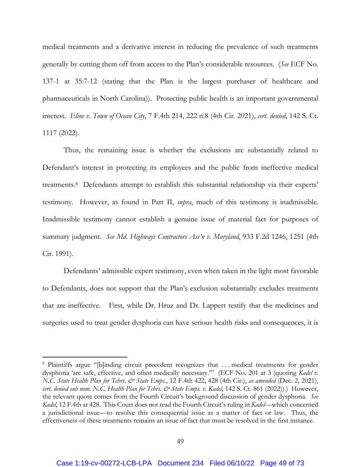medical treatments and a derivative interest in reducing the prevalence of such treatments generally by cutting them off from access to the Plan's considerable resources. (*See* ECF No. 137-1 at 35:7-12 (stating that the Plan is the largest purchaser of healthcare and pharmaceuticals in North Carolina)). Protecting public health is an important governmental interest. *Eline v. Town of Ocean City*, 7 F.4th 214, 222 n.8 (4th Cir. 2021), *cert. denied*, 142 S. Ct. 1117 (2022).

Thus, the remaining issue is whether the exclusions are substantially related to Defendant's interest in protecting its employees and the public from ineffective medical treatments.8 Defendants attempt to establish this substantial relationship via their experts' testimony. However, as found in Part II, *supra*, much of this testimony is inadmissible. Inadmissible testimony cannot establish a genuine issue of material fact for purposes of summary judgment. *See Md. Highways Contractors Ass'n v. Maryland*, 933 F.2d 1246, 1251 (4th Cir. 1991).

Defendants' admissible expert testimony, even when taken in the light most favorable to Defendants, does not support that the Plan's exclusion substantially excludes treatments that are ineffective. First, while Dr. Hruz and Dr. Lappert testify that the medicines and surgeries used to treat gender dysphoria can have serious health risks and consequences, it is

<sup>&</sup>lt;sup>8</sup> Plaintiffs argue "[b]inding circuit precedent recognizes that ... medical treatments for gender dysphoria 'are safe, effective, and often medically necessary.'" (ECF No. 201 at 3 (quoting *Kadel v. N.C. State Health Plan for Tchrs. & State Emps.*, 12 F.4th 422, 428 (4th Cir.), *as amended* (Dec. 2, 2021), *cert. denied sub nom. N.C. Health Plan for Tchrs. & State Emps. v. Kadel*, 142 S. Ct. 861 (2022)).) However, the relevant quote comes from the Fourth Circuit's background discussion of gender dysphoria. *See Kadel*, 12 F.4th at 428. This Court does not read the Fourth Circuit's ruling in *Kadel*—which concerned a jurisdictional issue—to resolve this consequential issue as a matter of fact or law. Thus, the effectiveness of these treatments remains an issue of fact that must be resolved in the first instance.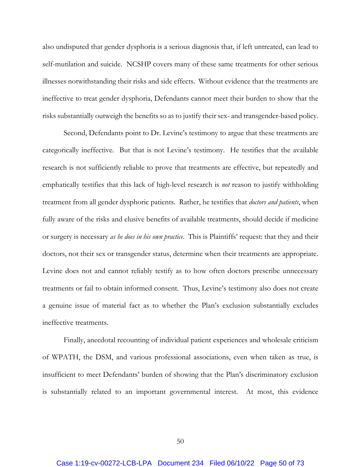also undisputed that gender dysphoria is a serious diagnosis that, if left untreated, can lead to self-mutilation and suicide. NCSHP covers many of these same treatments for other serious illnesses notwithstanding their risks and side effects. Without evidence that the treatments are ineffective to treat gender dysphoria, Defendants cannot meet their burden to show that the risks substantially outweigh the benefits so as to justify their sex- and transgender-based policy.

Second, Defendants point to Dr. Levine's testimony to argue that these treatments are categorically ineffective. But that is not Levine's testimony. He testifies that the available research is not sufficiently reliable to prove that treatments are effective, but repeatedly and emphatically testifies that this lack of high-level research is *not* reason to justify withholding treatment from all gender dysphoric patients. Rather, he testifies that *doctors and patients*, when fully aware of the risks and elusive benefits of available treatments, should decide if medicine or surgery is necessary *as he does in his own practice*. This is Plaintiffs' request: that they and their doctors, not their sex or transgender status, determine when their treatments are appropriate. Levine does not and cannot reliably testify as to how often doctors prescribe unnecessary treatments or fail to obtain informed consent. Thus, Levine's testimony also does not create a genuine issue of material fact as to whether the Plan's exclusion substantially excludes ineffective treatments.

Finally, anecdotal recounting of individual patient experiences and wholesale criticism of WPATH, the DSM, and various professional associations, even when taken as true, is insufficient to meet Defendants' burden of showing that the Plan's discriminatory exclusion is substantially related to an important governmental interest. At most, this evidence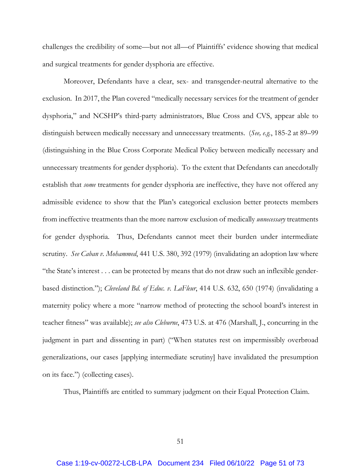challenges the credibility of some—but not all—of Plaintiffs' evidence showing that medical and surgical treatments for gender dysphoria are effective.

Moreover, Defendants have a clear, sex- and transgender-neutral alternative to the exclusion. In 2017, the Plan covered "medically necessary services for the treatment of gender dysphoria," and NCSHP's third-party administrators, Blue Cross and CVS, appear able to distinguish between medically necessary and unnecessary treatments. (*See, e.g.*, 185-2 at 89–99 (distinguishing in the Blue Cross Corporate Medical Policy between medically necessary and unnecessary treatments for gender dysphoria). To the extent that Defendants can anecdotally establish that *some* treatments for gender dysphoria are ineffective, they have not offered any admissible evidence to show that the Plan's categorical exclusion better protects members from ineffective treatments than the more narrow exclusion of medically *unnecessary* treatments for gender dysphoria. Thus, Defendants cannot meet their burden under intermediate scrutiny. *See Caban v. Mohammed*, 441 U.S. 380, 392 (1979) (invalidating an adoption law where "the State's interest . . . can be protected by means that do not draw such an inflexible genderbased distinction."); *Cleveland Bd. of Educ. v. LaFleur*, 414 U.S. 632, 650 (1974) (invalidating a maternity policy where a more "narrow method of protecting the school board's interest in teacher fitness" was available); *see also Cleburne*, 473 U.S. at 476 (Marshall, J., concurring in the judgment in part and dissenting in part) ("When statutes rest on impermissibly overbroad generalizations, our cases [applying intermediate scrutiny] have invalidated the presumption on its face.") (collecting cases).

Thus, Plaintiffs are entitled to summary judgment on their Equal Protection Claim.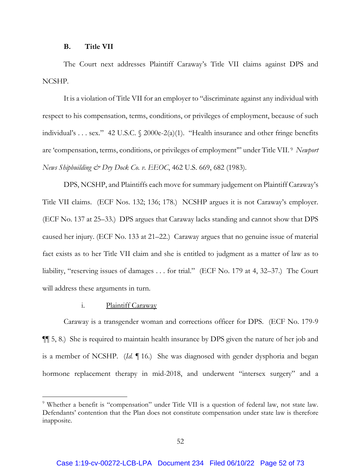#### **B. Title VII**

The Court next addresses Plaintiff Caraway's Title VII claims against DPS and NCSHP.

It is a violation of Title VII for an employer to "discriminate against any individual with respect to his compensation, terms, conditions, or privileges of employment, because of such individual's . . . sex." 42 U.S.C.  $\sqrt{2000e^{-2}(a)(1)}$ . "Health insurance and other fringe benefits are 'compensation, terms, conditions, or privileges of employment'" under Title VII. 9 *Newport News Shipbuilding & Dry Dock Co. v. EEOC*, 462 U.S. 669, 682 (1983).

DPS, NCSHP, and Plaintiffs each move for summary judgement on Plaintiff Caraway's Title VII claims. (ECF Nos. 132; 136; 178.) NCSHP argues it is not Caraway's employer. (ECF No. 137 at 25–33.) DPS argues that Caraway lacks standing and cannot show that DPS caused her injury. (ECF No. 133 at 21–22.) Caraway argues that no genuine issue of material fact exists as to her Title VII claim and she is entitled to judgment as a matter of law as to liability, "reserving issues of damages . . . for trial." (ECF No. 179 at 4, 32–37.) The Court will address these arguments in turn.

## i. Plaintiff Caraway

Caraway is a transgender woman and corrections officer for DPS. (ECF No. 179-9 ¶¶ 5, 8.) She is required to maintain health insurance by DPS given the nature of her job and is a member of NCSHP. (*Id.* ¶ 16.) She was diagnosed with gender dysphoria and began hormone replacement therapy in mid-2018, and underwent "intersex surgery" and a

<sup>&</sup>lt;sup>9</sup> Whether a benefit is "compensation" under Title VII is a question of federal law, not state law. Defendants' contention that the Plan does not constitute compensation under state law is therefore inapposite.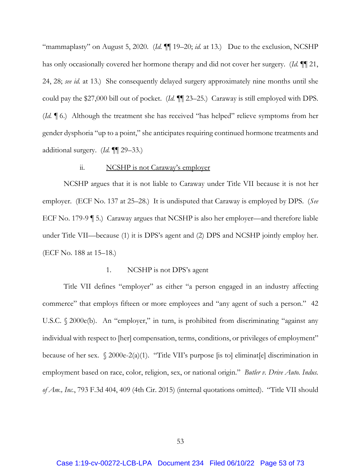"mammaplasty" on August 5, 2020. (*Id.* ¶¶ 19–20; *id.* at 13.) Due to the exclusion, NCSHP has only occasionally covered her hormone therapy and did not cover her surgery. (*Id.* ¶¶ 21, 24, 28; *see id.* at 13.) She consequently delayed surgery approximately nine months until she could pay the \$27,000 bill out of pocket. (*Id.* ¶¶ 23–25.) Caraway is still employed with DPS. (*Id.* ¶ 6.) Although the treatment she has received "has helped" relieve symptoms from her gender dysphoria "up to a point," she anticipates requiring continued hormone treatments and additional surgery. (*Id.* ¶¶ 29–33.)

### ii. NCSHP is not Caraway's employer

NCSHP argues that it is not liable to Caraway under Title VII because it is not her employer. (ECF No. 137 at 25–28.) It is undisputed that Caraway is employed by DPS. (*See* ECF No. 179-9 ¶ 5.) Caraway argues that NCSHP is also her employer—and therefore liable under Title VII—because (1) it is DPS's agent and (2) DPS and NCSHP jointly employ her. (ECF No. 188 at 15–18.)

### 1. NCSHP is not DPS's agent

Title VII defines "employer" as either "a person engaged in an industry affecting commerce" that employs fifteen or more employees and "any agent of such a person." 42 U.S.C. § 2000e(b). An "employer," in turn, is prohibited from discriminating "against any individual with respect to [her] compensation, terms, conditions, or privileges of employment" because of her sex.  $\sqrt{2000e^{-2(a)(1)}}$ . "Title VII's purpose [is to] eliminat[e] discrimination in employment based on race, color, religion, sex, or national origin." *Butler v. Drive Auto. Indus. of Am., Inc.*, 793 F.3d 404, 409 (4th Cir. 2015) (internal quotations omitted). "Title VII should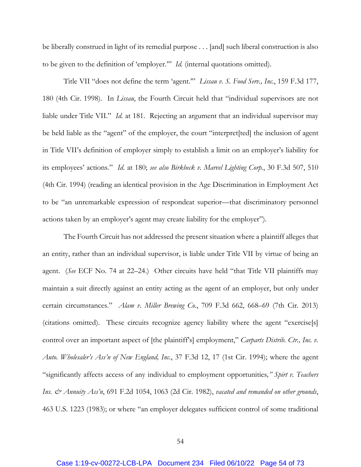be liberally construed in light of its remedial purpose . . . [and] such liberal construction is also to be given to the definition of 'employer.'" *Id.* (internal quotations omitted).

Title VII "does not define the term 'agent.'" *Lissau v. S. Food Serv., Inc.*, 159 F.3d 177, 180 (4th Cir. 1998). In *Lissau*, the Fourth Circuit held that "individual supervisors are not liable under Title VII." *Id.* at 181. Rejecting an argument that an individual supervisor may be held liable as the "agent" of the employer, the court "interpret[ted] the inclusion of agent in Title VII's definition of employer simply to establish a limit on an employer's liability for its employees' actions." *Id.* at 180; *see also Birkbeck v. Marvel Lighting Corp.*, 30 F.3d 507, 510 (4th Cir. 1994) (reading an identical provision in the Age Discrimination in Employment Act to be "an unremarkable expression of respondeat superior—that discriminatory personnel actions taken by an employer's agent may create liability for the employer").

The Fourth Circuit has not addressed the present situation where a plaintiff alleges that an entity, rather than an individual supervisor, is liable under Title VII by virtue of being an agent. (*See* ECF No. 74 at 22–24.) Other circuits have held "that Title VII plaintiffs may maintain a suit directly against an entity acting as the agent of an employer, but only under certain circumstances." *Alam v. Miller Brewing Co.*, 709 F.3d 662, 668–69 (7th Cir. 2013) (citations omitted). These circuits recognize agency liability where the agent "exercise[s] control over an important aspect of [the plaintiff's] employment," *Carparts Distrib. Ctr., Inc. v. Auto. Wholesaler's Ass'n of New England, Inc.*, 37 F.3d 12, 17 (1st Cir. 1994); where the agent "significantly affects access of any individual to employment opportunities*," Spirt v. Teachers Ins. & Annuity Ass'n*, 691 F.2d 1054, 1063 (2d Cir. 1982), *vacated and remanded on other grounds*, 463 U.S. 1223 (1983); or where "an employer delegates sufficient control of some traditional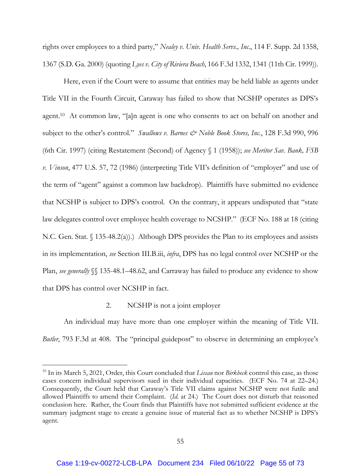rights over employees to a third party," *Nealey v. Univ. Health Servs., Inc.*, 114 F. Supp. 2d 1358, 1367 (S.D. Ga. 2000) (quoting *Lyes v. City of Riviera Beach*, 166 F.3d 1332, 1341 (11th Cir. 1999)).

Here, even if the Court were to assume that entities may be held liable as agents under Title VII in the Fourth Circuit, Caraway has failed to show that NCSHP operates as DPS's agent.10 At common law, "[a]n agent is one who consents to act on behalf on another and subject to the other's control." *Swallows v. Barnes & Noble Book Stores, Inc.*, 128 F.3d 990, 996 (6th Cir. 1997) (citing Restatement (Second) of Agency § 1 (1958)); *see Meritor Sav. Bank, FSB v. Vinson*, 477 U.S. 57, 72 (1986) (interpreting Title VII's definition of "employer" and use of the term of "agent" against a common law backdrop). Plaintiffs have submitted no evidence that NCSHP is subject to DPS's control. On the contrary, it appears undisputed that "state law delegates control over employee health coverage to NCSHP." (ECF No. 188 at 18 (citing N.C. Gen. Stat. § 135-48.2(a)).) Although DPS provides the Plan to its employees and assists in its implementation, *see* Section III.B.iii, *infra*, DPS has no legal control over NCSHP or the Plan, *see generally* §§ 135-48.1–48.62, and Carraway has failed to produce any evidence to show that DPS has control over NCSHP in fact.

## 2. NCSHP is not a joint employer

An individual may have more than one employer within the meaning of Title VII. *Butler*, 793 F.3d at 408. The "principal guidepost" to observe in determining an employee's

<sup>10</sup> In its March 5, 2021, Order, this Court concluded that *Lissau* nor *Birkbeck* control this case, as those cases concern individual supervisors sued in their individual capacities. (ECF No. 74 at 22–24.) Consequently, the Court held that Caraway's Title VII claims against NCSHP were not futile and allowed Plaintiffs to amend their Complaint. (*Id.* at 24.) The Court does not disturb that reasoned conclusion here. Rather, the Court finds that Plaintiffs have not submitted sufficient evidence at the summary judgment stage to create a genuine issue of material fact as to whether NCSHP is DPS's agent.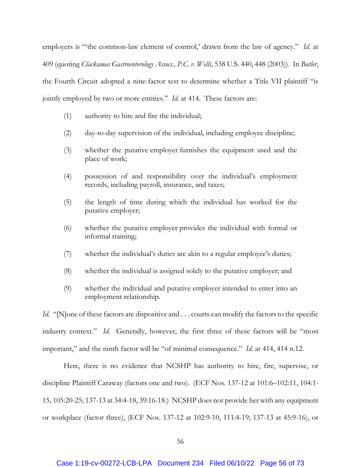employers is "'the common-law element of control,' drawn from the law of agency." *Id.* at 409 (quoting *Clackamas Gastroenterology Assocs., P.C. v. Wells*, 538 U.S. 440, 448 (2003)). In *Butler*, the Fourth Circuit adopted a nine-factor test to determine whether a Title VII plaintiff "is jointly employed by two or more entities." *Id.* at 414. These factors are:

- (1) authority to hire and fire the individual;
- (2) day-to-day supervision of the individual, including employee discipline;
- (3) whether the putative employer furnishes the equipment used and the place of work;
- (4) possession of and responsibility over the individual's employment records, including payroll, insurance, and taxes;
- (5) the length of time during which the individual has worked for the putative employer;
- (6) whether the putative employer provides the individual with formal or informal training;
- (7) whether the individual's duties are akin to a regular employee's duties;
- (8) whether the individual is assigned solely to the putative employer; and
- (9) whether the individual and putative employer intended to enter into an employment relationship.

*Id.* "[N]one of these factors are dispositive and . . . courts can modify the factors to the specific industry context." *Id.* Generally, however, the first three of these factors will be "most important," and the ninth factor will be "of minimal consequence." *Id.* at 414, 414 n.12.

Here, there is no evidence that NCSHP has authority to hire, fire, supervise, or discipline Plaintiff Caraway (factors one and two). (ECF Nos. 137-12 at 101:6–102:11, 104:1- 15, 105:20-25; 137-13 at 34:4-18, 39:16-18.) NCSHP does not provide her with any equipment or workplace (factor three), (ECF Nos. 137-12 at 102:9-10, 111:4-19; 137-13 at 45:9-16), or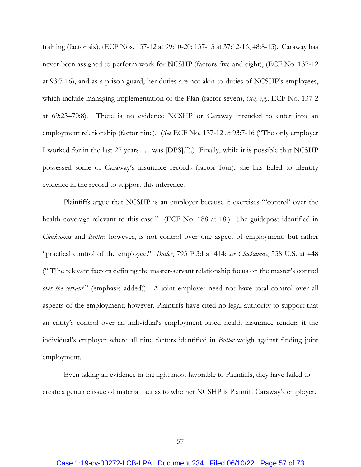training (factor six), (ECF Nos. 137-12 at 99:10-20; 137-13 at 37:12-16, 48:8-13). Caraway has never been assigned to perform work for NCSHP (factors five and eight), (ECF No. 137-12 at 93:7-16), and as a prison guard, her duties are not akin to duties of NCSHP's employees, which include managing implementation of the Plan (factor seven), (*see, e.g.*, ECF No. 137-2 at 69:23–70:8). There is no evidence NCSHP or Caraway intended to enter into an employment relationship (factor nine). (*See* ECF No. 137-12 at 93:7-16 ("The only employer I worked for in the last 27 years . . . was [DPS].").) Finally, while it is possible that NCSHP possessed some of Caraway's insurance records (factor four), she has failed to identify evidence in the record to support this inference.

Plaintiffs argue that NCSHP is an employer because it exercises "'control' over the health coverage relevant to this case." (ECF No. 188 at 18.) The guidepost identified in *Clackamas* and *Butler*, however, is not control over one aspect of employment, but rather "practical control of the employee." *Butler*, 793 F.3d at 414; *see Clackamas*, 538 U.S. at 448 ("[T]he relevant factors defining the master-servant relationship focus on the master's control *over the servant*." (emphasis added)). A joint employer need not have total control over all aspects of the employment; however, Plaintiffs have cited no legal authority to support that an entity's control over an individual's employment-based health insurance renders it the individual's employer where all nine factors identified in *Butler* weigh against finding joint employment.

Even taking all evidence in the light most favorable to Plaintiffs, they have failed to create a genuine issue of material fact as to whether NCSHP is Plaintiff Caraway's employer.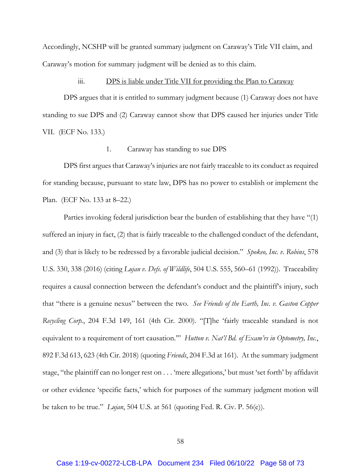Accordingly, NCSHP will be granted summary judgment on Caraway's Title VII claim, and Caraway's motion for summary judgment will be denied as to this claim.

#### iii. DPS is liable under Title VII for providing the Plan to Caraway

DPS argues that it is entitled to summary judgment because (1) Caraway does not have standing to sue DPS and (2) Caraway cannot show that DPS caused her injuries under Title VII. (ECF No. 133.)

## 1. Caraway has standing to sue DPS

DPS first argues that Caraway's injuries are not fairly traceable to its conduct as required for standing because, pursuant to state law, DPS has no power to establish or implement the Plan. (ECF No. 133 at 8–22.)

Parties invoking federal jurisdiction bear the burden of establishing that they have "(1) suffered an injury in fact, (2) that is fairly traceable to the challenged conduct of the defendant, and (3) that is likely to be redressed by a favorable judicial decision." *Spokeo, Inc. v. Robins*, 578 U.S. 330, 338 (2016) (citing *Lujan v. Defs. of Wildlife*, 504 U.S. 555, 560–61 (1992)). Traceability requires a causal connection between the defendant's conduct and the plaintiff's injury, such that "there is a genuine nexus" between the two. *See Friends of the Earth, Inc. v. Gaston Copper Recycling Corp.*, 204 F.3d 149, 161 (4th Cir. 2000). "[T]he 'fairly traceable standard is not equivalent to a requirement of tort causation.'" *Hutton v. Nat'l Bd. of Exam'rs in Optometry, Inc.*, 892 F.3d 613, 623 (4th Cir. 2018) (quoting *Friends*, 204 F.3d at 161). At the summary judgment stage, "the plaintiff can no longer rest on . . . 'mere allegations,' but must 'set forth' by affidavit or other evidence 'specific facts,' which for purposes of the summary judgment motion will be taken to be true." *Lujan*, 504 U.S. at 561 (quoting Fed. R. Civ. P. 56(e)).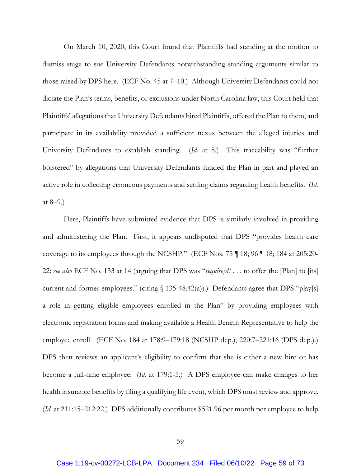On March 10, 2020, this Court found that Plaintiffs had standing at the motion to dismiss stage to sue University Defendants notwithstanding standing arguments similar to those raised by DPS here. (ECF No. 45 at 7–10.) Although University Defendants could not dictate the Plan's terms, benefits, or exclusions under North Carolina law, this Court held that Plaintiffs' allegations that University Defendants hired Plaintiffs, offered the Plan to them, and participate in its availability provided a sufficient nexus between the alleged injuries and University Defendants to establish standing. (*Id.* at 8.) This traceability was "further bolstered" by allegations that University Defendants funded the Plan in part and played an active role in collecting erroneous payments and settling claims regarding health benefits. (*Id.* at 8–9.)

Here, Plaintiffs have submitted evidence that DPS is similarly involved in providing and administering the Plan. First, it appears undisputed that DPS "provides health care coverage to its employees through the NCSHP." (ECF Nos. 75 ¶ 18; 96 ¶ 18; 184 at 205:20- 22; *see also* ECF No. 133 at 14 (arguing that DPS was "*require[d]* . . . to offer the [Plan] to [its] current and former employees." (citing  $\int$  135-48.42(a)).) Defendants agree that DPS "play[s] a role in getting eligible employees enrolled in the Plan" by providing employees with electronic registration forms and making available a Health Benefit Representative to help the employee enroll. (ECF No. 184 at 178:9–179:18 (NCSHP dep.), 220:7–221:16 (DPS dep.).) DPS then reviews an applicant's eligibility to confirm that she is either a new hire or has become a full-time employee. (*Id.* at 179:1-5.) A DPS employee can make changes to her health insurance benefits by filing a qualifying life event, which DPS must review and approve. (*Id.* at 211:15–212:22.) DPS additionally contributes \$521.96 per month per employee to help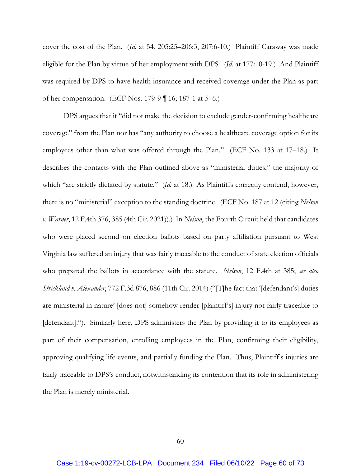cover the cost of the Plan. (*Id.* at 54, 205:25–206:3, 207:6-10.) Plaintiff Caraway was made eligible for the Plan by virtue of her employment with DPS. (*Id.* at 177:10-19.) And Plaintiff was required by DPS to have health insurance and received coverage under the Plan as part of her compensation. (ECF Nos. 179-9 ¶ 16; 187-1 at 5–6.)

DPS argues that it "did not make the decision to exclude gender-confirming healthcare coverage" from the Plan nor has "any authority to choose a healthcare coverage option for its employees other than what was offered through the Plan." (ECF No. 133 at 17–18.) It describes the contacts with the Plan outlined above as "ministerial duties," the majority of which "are strictly dictated by statute." (*Id.* at 18.) As Plaintiffs correctly contend, however, there is no "ministerial" exception to the standing doctrine. (ECF No. 187 at 12 (citing *Nelson v. Warner*, 12 F.4th 376, 385 (4th Cir. 2021)).) In *Nelson*, the Fourth Circuit held that candidates who were placed second on election ballots based on party affiliation pursuant to West Virginia law suffered an injury that was fairly traceable to the conduct of state election officials who prepared the ballots in accordance with the statute. *Nelson*, 12 F.4th at 385; *see also Strickland v. Alexander*, 772 F.3d 876, 886 (11th Cir. 2014) ("[T]he fact that '[defendant's] duties are ministerial in nature' [does not] somehow render [plaintiff's] injury not fairly traceable to [defendant]."). Similarly here, DPS administers the Plan by providing it to its employees as part of their compensation, enrolling employees in the Plan, confirming their eligibility, approving qualifying life events, and partially funding the Plan. Thus, Plaintiff's injuries are fairly traceable to DPS's conduct, notwithstanding its contention that its role in administering the Plan is merely ministerial.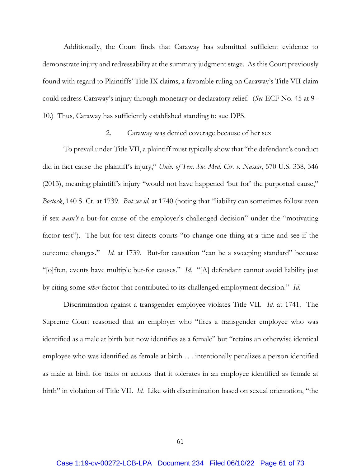Additionally, the Court finds that Caraway has submitted sufficient evidence to demonstrate injury and redressability at the summary judgment stage. As this Court previously found with regard to Plaintiffs' Title IX claims, a favorable ruling on Caraway's Title VII claim could redress Caraway's injury through monetary or declaratory relief. (*See* ECF No. 45 at 9– 10.) Thus, Caraway has sufficiently established standing to sue DPS.

## 2. Caraway was denied coverage because of her sex

To prevail under Title VII, a plaintiff must typically show that "the defendant's conduct did in fact cause the plaintiff's injury," *Univ. of Tex. Sw. Med. Ctr. v. Nassar*, 570 U.S. 338, 346 (2013), meaning plaintiff's injury "would not have happened 'but for' the purported cause," *Bostock*, 140 S. Ct. at 1739. *But see id.* at 1740 (noting that "liability can sometimes follow even if sex *wasn't* a but-for cause of the employer's challenged decision" under the "motivating factor test"). The but-for test directs courts "to change one thing at a time and see if the outcome changes." *Id.* at 1739. But-for causation "can be a sweeping standard" because "[o]ften, events have multiple but-for causes." *Id.* "[A] defendant cannot avoid liability just by citing some *other* factor that contributed to its challenged employment decision." *Id.*

Discrimination against a transgender employee violates Title VII. *Id.* at 1741. The Supreme Court reasoned that an employer who "fires a transgender employee who was identified as a male at birth but now identifies as a female" but "retains an otherwise identical employee who was identified as female at birth . . . intentionally penalizes a person identified as male at birth for traits or actions that it tolerates in an employee identified as female at birth" in violation of Title VII. *Id.* Like with discrimination based on sexual orientation, "the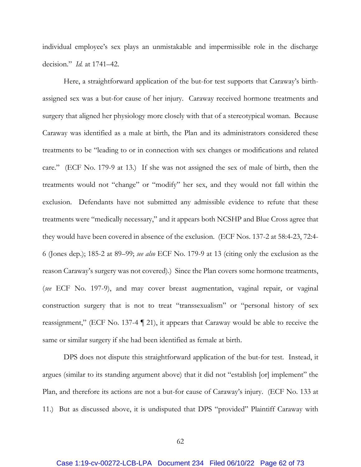individual employee's sex plays an unmistakable and impermissible role in the discharge decision." *Id.* at 1741–42.

Here, a straightforward application of the but-for test supports that Caraway's birthassigned sex was a but-for cause of her injury. Caraway received hormone treatments and surgery that aligned her physiology more closely with that of a stereotypical woman. Because Caraway was identified as a male at birth, the Plan and its administrators considered these treatments to be "leading to or in connection with sex changes or modifications and related care." (ECF No. 179-9 at 13.) If she was not assigned the sex of male of birth, then the treatments would not "change" or "modify" her sex, and they would not fall within the exclusion. Defendants have not submitted any admissible evidence to refute that these treatments were "medically necessary," and it appears both NCSHP and Blue Cross agree that they would have been covered in absence of the exclusion. (ECF Nos. 137-2 at 58:4-23, 72:4- 6 (Jones dep.); 185-2 at 89–99; *see also* ECF No. 179-9 at 13 (citing only the exclusion as the reason Caraway's surgery was not covered).) Since the Plan covers some hormone treatments, (*see* ECF No. 197-9), and may cover breast augmentation, vaginal repair, or vaginal construction surgery that is not to treat "transsexualism" or "personal history of sex reassignment," (ECF No. 137-4 ¶ 21), it appears that Caraway would be able to receive the same or similar surgery if she had been identified as female at birth.

DPS does not dispute this straightforward application of the but-for test. Instead, it argues (similar to its standing argument above) that it did not "establish [or] implement" the Plan, and therefore its actions are not a but-for cause of Caraway's injury. (ECF No. 133 at 11.) But as discussed above, it is undisputed that DPS "provided" Plaintiff Caraway with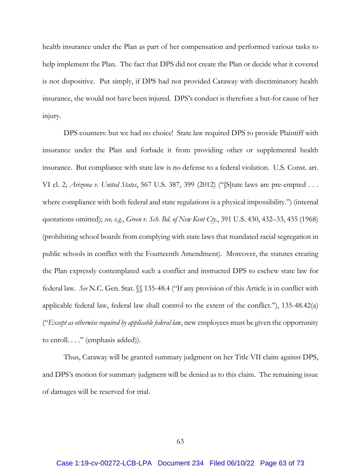health insurance under the Plan as part of her compensation and performed various tasks to help implement the Plan. The fact that DPS did not create the Plan or decide what it covered is not dispositive. Put simply, if DPS had not provided Caraway with discriminatory health insurance, she would not have been injured. DPS's conduct is therefore a but-for cause of her injury.

DPS counters: but we had no choice! State law required DPS to provide Plaintiff with insurance under the Plan and forbade it from providing other or supplemental health insurance. But compliance with state law is no defense to a federal violation. U.S. Const. art. VI cl. 2; *Arizona v. United States*, 567 U.S. 387, 399 (2012) ("[S]tate laws are pre-empted . . . where compliance with both federal and state regulations is a physical impossibility.") (internal quotations omitted); *see, e.g.*, *Green v. Sch. Bd. of New Kent Cty.*, 391 U.S. 430, 432–33, 435 (1968) (prohibiting school boards from complying with state laws that mandated racial segregation in public schools in conflict with the Fourteenth Amendment). Moreover, the statutes creating the Plan expressly contemplated such a conflict and instructed DPS to eschew state law for federal law. *See* N.C. Gen. Stat. §§ 135-48.4 ("If any provision of this Article is in conflict with applicable federal law, federal law shall control to the extent of the conflict."), 135-48.42(a) ("*Except as otherwise required by applicable federal law*, new employees must be given the opportunity to enroll. . . ." (emphasis added)).

Thus, Caraway will be granted summary judgment on her Title VII claim against DPS, and DPS's motion for summary judgment will be denied as to this claim. The remaining issue of damages will be reserved for trial.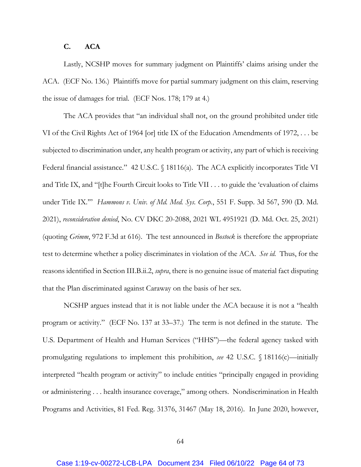## **C. ACA**

Lastly, NCSHP moves for summary judgment on Plaintiffs' claims arising under the ACA. (ECF No. 136.) Plaintiffs move for partial summary judgment on this claim, reserving the issue of damages for trial. (ECF Nos. 178; 179 at 4.)

The ACA provides that "an individual shall not, on the ground prohibited under title VI of the Civil Rights Act of 1964 [or] title IX of the Education Amendments of 1972, . . . be subjected to discrimination under, any health program or activity, any part of which is receiving Federal financial assistance." 42 U.S.C. § 18116(a). The ACA explicitly incorporates Title VI and Title IX, and "[t]he Fourth Circuit looks to Title VII . . . to guide the 'evaluation of claims under Title IX.'" *Hammons v. Univ. of Md. Med. Sys. Corp.*, 551 F. Supp. 3d 567, 590 (D. Md. 2021), *reconsideration denied*, No. CV DKC 20-2088, 2021 WL 4951921 (D. Md. Oct. 25, 2021) (quoting *Grimm*, 972 F.3d at 616). The test announced in *Bostock* is therefore the appropriate test to determine whether a policy discriminates in violation of the ACA. *See id.* Thus, for the reasons identified in Section III.B.ii.2, *supra*, there is no genuine issue of material fact disputing that the Plan discriminated against Caraway on the basis of her sex.

NCSHP argues instead that it is not liable under the ACA because it is not a "health program or activity." (ECF No. 137 at 33–37.) The term is not defined in the statute. The U.S. Department of Health and Human Services ("HHS")—the federal agency tasked with promulgating regulations to implement this prohibition, *see* 42 U.S.C. § 18116(c)—initially interpreted "health program or activity" to include entities "principally engaged in providing or administering . . . health insurance coverage," among others. Nondiscrimination in Health Programs and Activities, 81 Fed. Reg. 31376, 31467 (May 18, 2016). In June 2020, however,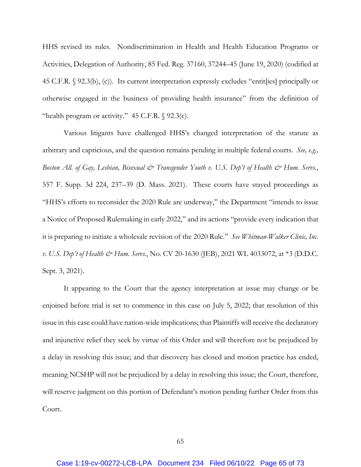HHS revised its rules. Nondiscrimination in Health and Health Education Programs or Activities, Delegation of Authority, 85 Fed. Reg. 37160, 37244–45 (June 19, 2020) (codified at 45 C.F.R. § 92.3(b), (c)). Its current interpretation expressly excludes "entit[ies] principally or otherwise engaged in the business of providing health insurance" from the definition of "health program or activity."  $45$  C.F.R.  $\sqrt{92.3(c)}$ .

Various litigants have challenged HHS's changed interpretation of the statute as arbitrary and capricious, and the question remains pending in multiple federal courts. *See, e.g., Boston All. of Gay, Lesbian, Bisexual & Transgender Youth v. U.S. Dep't of Health & Hum. Servs.*, 557 F. Supp. 3d 224, 237–39 (D. Mass. 2021). These courts have stayed proceedings as "HHS's efforts to reconsider the 2020 Rule are underway," the Department "intends to issue a Notice of Proposed Rulemaking in early 2022," and its actions "provide every indication that it is preparing to initiate a wholesale revision of the 2020 Rule." *See Whitman-Walker Clinic, Inc. v. U.S. Dep't of Health & Hum. Servs.*, No. CV 20-1630 (JEB), 2021 WL 4033072, at \*3 (D.D.C. Sept. 3, 2021).

It appearing to the Court that the agency interpretation at issue may change or be enjoined before trial is set to commence in this case on July 5, 2022; that resolution of this issue in this case could have nation-wide implications; that Plaintiffs will receive the declaratory and injunctive relief they seek by virtue of this Order and will therefore not be prejudiced by a delay in resolving this issue; and that discovery has closed and motion practice has ended, meaning NCSHP will not be prejudiced by a delay in resolving this issue; the Court, therefore, will reserve judgment on this portion of Defendant's motion pending further Order from this Court.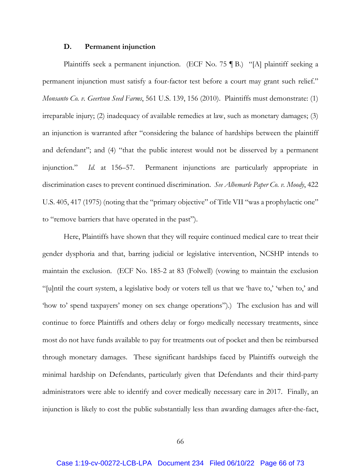#### **D. Permanent injunction**

Plaintiffs seek a permanent injunction. (ECF No. 75 ¶ B.) "[A] plaintiff seeking a permanent injunction must satisfy a four-factor test before a court may grant such relief." *Monsanto Co. v. Geertson Seed Farms*, 561 U.S. 139, 156 (2010). Plaintiffs must demonstrate: (1) irreparable injury; (2) inadequacy of available remedies at law, such as monetary damages; (3) an injunction is warranted after "considering the balance of hardships between the plaintiff and defendant"; and (4) "that the public interest would not be disserved by a permanent injunction." *Id.* at 156–57. Permanent injunctions are particularly appropriate in discrimination cases to prevent continued discrimination. *See Albemarle Paper Co. v. Moody*, 422 U.S. 405, 417 (1975) (noting that the "primary objective" of Title VII "was a prophylactic one" to "remove barriers that have operated in the past").

Here, Plaintiffs have shown that they will require continued medical care to treat their gender dysphoria and that, barring judicial or legislative intervention, NCSHP intends to maintain the exclusion. (ECF No. 185-2 at 83 (Folwell) (vowing to maintain the exclusion "[u]ntil the court system, a legislative body or voters tell us that we 'have to,' 'when to,' and 'how to' spend taxpayers' money on sex change operations").) The exclusion has and will continue to force Plaintiffs and others delay or forgo medically necessary treatments, since most do not have funds available to pay for treatments out of pocket and then be reimbursed through monetary damages. These significant hardships faced by Plaintiffs outweigh the minimal hardship on Defendants, particularly given that Defendants and their third-party administrators were able to identify and cover medically necessary care in 2017. Finally, an injunction is likely to cost the public substantially less than awarding damages after-the-fact,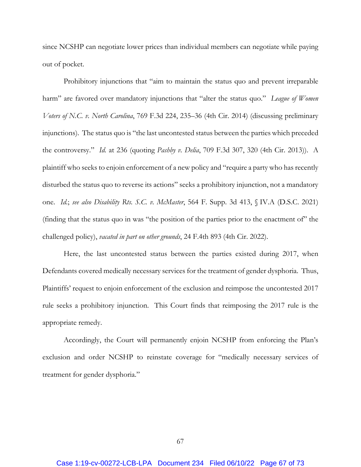since NCSHP can negotiate lower prices than individual members can negotiate while paying out of pocket.

Prohibitory injunctions that "aim to maintain the status quo and prevent irreparable harm" are favored over mandatory injunctions that "alter the status quo." *League of Women Voters of N.C. v. North Carolina*, 769 F.3d 224, 235–36 (4th Cir. 2014) (discussing preliminary injunctions). The status quo is "the last uncontested status between the parties which preceded the controversy." *Id.* at 236 (quoting *Pashby v. Delia*, 709 F.3d 307, 320 (4th Cir. 2013)). A plaintiff who seeks to enjoin enforcement of a new policy and "require a party who has recently disturbed the status quo to reverse its actions" seeks a prohibitory injunction, not a mandatory one. *Id.*; *see also Disability Rts. S.C. v. McMaster*, 564 F. Supp. 3d 413, § IV.A (D.S.C. 2021) (finding that the status quo in was "the position of the parties prior to the enactment of" the challenged policy), *vacated in part on other grounds*, 24 F.4th 893 (4th Cir. 2022).

Here, the last uncontested status between the parties existed during 2017, when Defendants covered medically necessary services for the treatment of gender dysphoria. Thus, Plaintiffs' request to enjoin enforcement of the exclusion and reimpose the uncontested 2017 rule seeks a prohibitory injunction. This Court finds that reimposing the 2017 rule is the appropriate remedy.

Accordingly, the Court will permanently enjoin NCSHP from enforcing the Plan's exclusion and order NCSHP to reinstate coverage for "medically necessary services of treatment for gender dysphoria."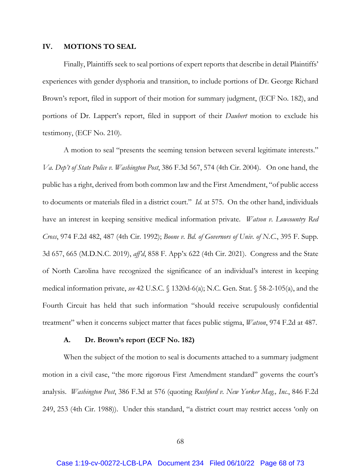### **IV. MOTIONS TO SEAL**

Finally, Plaintiffs seek to seal portions of expert reports that describe in detail Plaintiffs' experiences with gender dysphoria and transition, to include portions of Dr. George Richard Brown's report, filed in support of their motion for summary judgment, (ECF No. 182), and portions of Dr. Lappert's report, filed in support of their *Daubert* motion to exclude his testimony, (ECF No. 210).

A motion to seal "presents the seeming tension between several legitimate interests." *Va. Dep't of State Police v. Washington Post*, 386 F.3d 567, 574 (4th Cir. 2004). On one hand, the public has a right, derived from both common law and the First Amendment, "of public access to documents or materials filed in a district court." *Id.* at 575. On the other hand, individuals have an interest in keeping sensitive medical information private. *Watson v. Lowcountry Red Cross*, 974 F.2d 482, 487 (4th Cir. 1992); *Boone v. Bd. of Governors of Univ. of N.C.*, 395 F. Supp. 3d 657, 665 (M.D.N.C. 2019), *aff'd*, 858 F. App'x 622 (4th Cir. 2021). Congress and the State of North Carolina have recognized the significance of an individual's interest in keeping medical information private, *see* 42 U.S.C. § 1320d-6(a); N.C. Gen. Stat. § 58-2-105(a), and the Fourth Circuit has held that such information "should receive scrupulously confidential treatment" when it concerns subject matter that faces public stigma, *Watson*, 974 F.2d at 487.

### **A. Dr. Brown's report (ECF No. 182)**

When the subject of the motion to seal is documents attached to a summary judgment motion in a civil case, "the more rigorous First Amendment standard" governs the court's analysis. *Washington Post*, 386 F.3d at 576 (quoting *Rushford v. New Yorker Mag., Inc.*, 846 F.2d 249, 253 (4th Cir. 1988)). Under this standard, "a district court may restrict access 'only on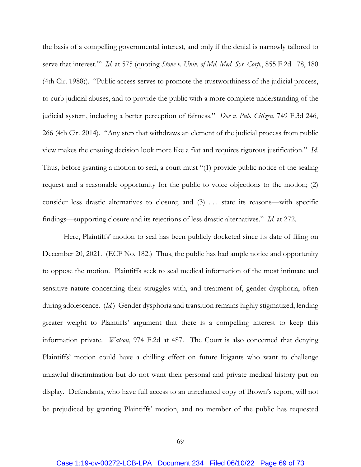the basis of a compelling governmental interest, and only if the denial is narrowly tailored to serve that interest.'" *Id.* at 575 (quoting *Stone v. Univ. of Md. Med. Sys. Corp.*, 855 F.2d 178, 180 (4th Cir. 1988)). "Public access serves to promote the trustworthiness of the judicial process, to curb judicial abuses, and to provide the public with a more complete understanding of the judicial system, including a better perception of fairness." *Doe v. Pub. Citizen*, 749 F.3d 246, 266 (4th Cir. 2014). "Any step that withdraws an element of the judicial process from public view makes the ensuing decision look more like a fiat and requires rigorous justification." *Id.* Thus, before granting a motion to seal, a court must "(1) provide public notice of the sealing request and a reasonable opportunity for the public to voice objections to the motion; (2) consider less drastic alternatives to closure; and  $(3)$  ... state its reasons—with specific findings—supporting closure and its rejections of less drastic alternatives." *Id.* at 272.

Here, Plaintiffs' motion to seal has been publicly docketed since its date of filing on December 20, 2021. (ECF No. 182.) Thus, the public has had ample notice and opportunity to oppose the motion. Plaintiffs seek to seal medical information of the most intimate and sensitive nature concerning their struggles with, and treatment of, gender dysphoria, often during adolescence. (*Id.*) Gender dysphoria and transition remains highly stigmatized, lending greater weight to Plaintiffs' argument that there is a compelling interest to keep this information private. *Watson*, 974 F.2d at 487. The Court is also concerned that denying Plaintiffs' motion could have a chilling effect on future litigants who want to challenge unlawful discrimination but do not want their personal and private medical history put on display. Defendants, who have full access to an unredacted copy of Brown's report, will not be prejudiced by granting Plaintiffs' motion, and no member of the public has requested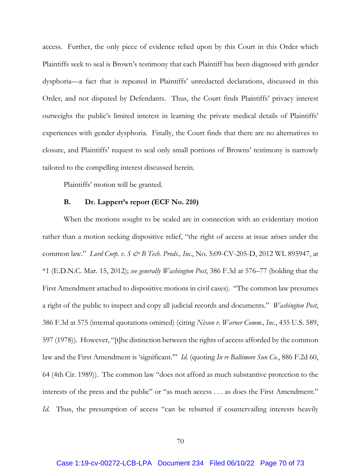access. Further, the only piece of evidence relied upon by this Court in this Order which Plaintiffs seek to seal is Brown's testimony that each Plaintiff has been diagnosed with gender dysphoria—a fact that is repeated in Plaintiffs' unredacted declarations, discussed in this Order, and not disputed by Defendants. Thus, the Court finds Plaintiffs' privacy interest outweighs the public's limited interest in learning the private medical details of Plaintiffs' experiences with gender dysphoria. Finally, the Court finds that there are no alternatives to closure, and Plaintiffs' request to seal only small portions of Browns' testimony is narrowly tailored to the compelling interest discussed herein.

Plaintiffs' motion will be granted.

### **B. Dr. Lappert's report (ECF No. 210)**

When the motions sought to be sealed are in connection with an evidentiary motion rather than a motion seeking dispositive relief, "the right of access at issue arises under the common law." *Lord Corp. v. S & B Tech. Prods., Inc.*, No. 5:09-CV-205-D, 2012 WL 895947, at \*1 (E.D.N.C. Mar. 15, 2012); *see generally Washington Post*, 386 F.3d at 576–77 (holding that the First Amendment attached to dispositive motions in civil cases). "The common law presumes a right of the public to inspect and copy all judicial records and documents." *Washington Post*, 386 F.3d at 575 (internal quotations omitted) (citing *Nixon v. Warner Comm., Inc.*, 435 U.S. 589, 597 (1978)). However, "[t]he distinction between the rights of access afforded by the common law and the First Amendment is 'significant.'" *Id.* (quoting *In re Baltimore Sun Co.*, 886 F.2d 60, 64 (4th Cir. 1989)). The common law "does not afford as much substantive protection to the interests of the press and the public" or "as much access . . . as does the First Amendment." *Id.* Thus, the presumption of access "can be rebutted if countervailing interests heavily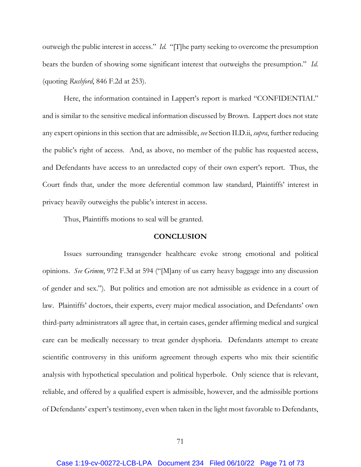outweigh the public interest in access." *Id.* "[T]he party seeking to overcome the presumption bears the burden of showing some significant interest that outweighs the presumption." *Id.* (quoting *Rushford*, 846 F.2d at 253).

Here, the information contained in Lappert's report is marked "CONFIDENTIAL" and is similar to the sensitive medical information discussed by Brown. Lappert does not state any expert opinions in this section that are admissible, *see* Section II.D.ii, *supra*, further reducing the public's right of access. And, as above, no member of the public has requested access, and Defendants have access to an unredacted copy of their own expert's report. Thus, the Court finds that, under the more deferential common law standard, Plaintiffs' interest in privacy heavily outweighs the public's interest in access.

Thus, Plaintiffs motions to seal will be granted.

## **CONCLUSION**

Issues surrounding transgender healthcare evoke strong emotional and political opinions. *See Grimm*, 972 F.3d at 594 ("[M]any of us carry heavy baggage into any discussion of gender and sex."). But politics and emotion are not admissible as evidence in a court of law. Plaintiffs' doctors, their experts, every major medical association, and Defendants' own third-party administrators all agree that, in certain cases, gender affirming medical and surgical care can be medically necessary to treat gender dysphoria. Defendants attempt to create scientific controversy in this uniform agreement through experts who mix their scientific analysis with hypothetical speculation and political hyperbole. Only science that is relevant, reliable, and offered by a qualified expert is admissible, however, and the admissible portions of Defendants' expert's testimony, even when taken in the light most favorable to Defendants,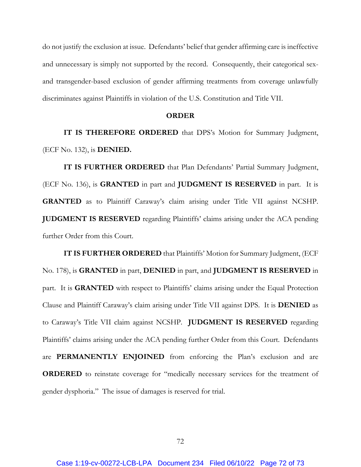do not justify the exclusion at issue. Defendants' belief that gender affirming care is ineffective and unnecessary is simply not supported by the record. Consequently, their categorical sexand transgender-based exclusion of gender affirming treatments from coverage unlawfully discriminates against Plaintiffs in violation of the U.S. Constitution and Title VII.

#### **ORDER**

**IT IS THEREFORE ORDERED** that DPS's Motion for Summary Judgment, (ECF No. 132), is **DENIED.** 

**IT IS FURTHER ORDERED** that Plan Defendants' Partial Summary Judgment, (ECF No. 136), is **GRANTED** in part and **JUDGMENT IS RESERVED** in part. It is **GRANTED** as to Plaintiff Caraway's claim arising under Title VII against NCSHP. **JUDGMENT IS RESERVED** regarding Plaintiffs' claims arising under the ACA pending further Order from this Court.

**IT IS FURTHER ORDERED** that Plaintiffs' Motion for Summary Judgment, (ECF No. 178), is **GRANTED** in part, **DENIED** in part, and **JUDGMENT IS RESERVED** in part. It is **GRANTED** with respect to Plaintiffs' claims arising under the Equal Protection Clause and Plaintiff Caraway's claim arising under Title VII against DPS. It is **DENIED** as to Caraway's Title VII claim against NCSHP. **JUDGMENT IS RESERVED** regarding Plaintiffs' claims arising under the ACA pending further Order from this Court. Defendants are **PERMANENTLY ENJOINED** from enforcing the Plan's exclusion and are **ORDERED** to reinstate coverage for "medically necessary services for the treatment of gender dysphoria." The issue of damages is reserved for trial.